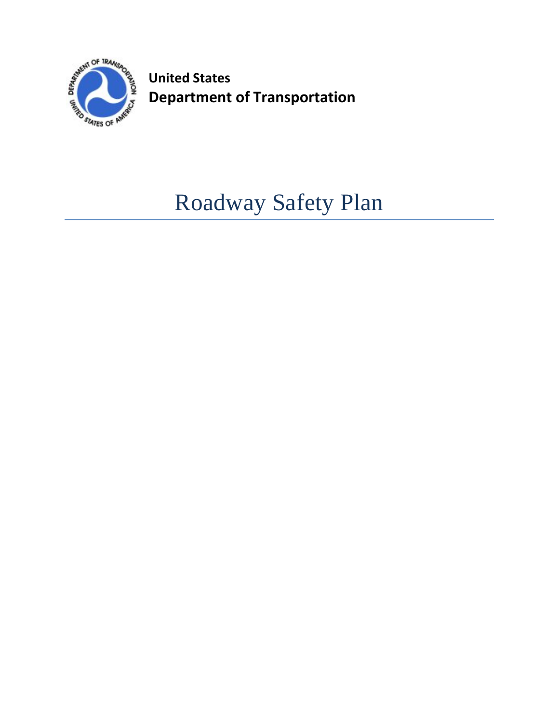

**United States Department of Transportation**

# Roadway Safety Plan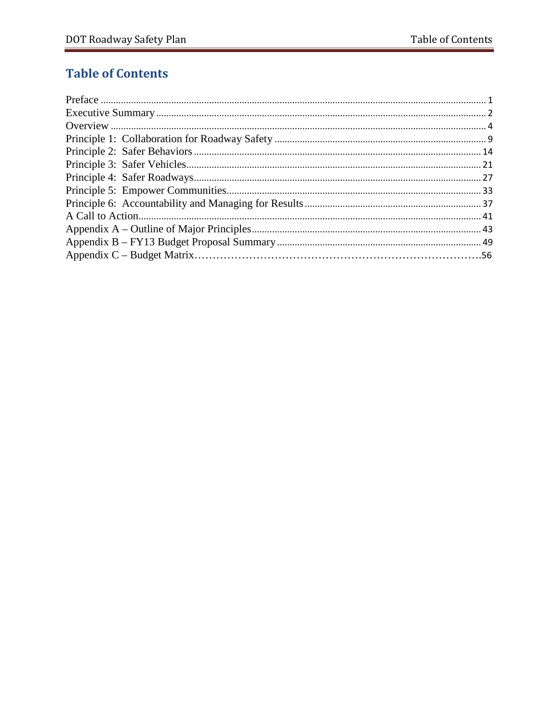# **Table of Contents**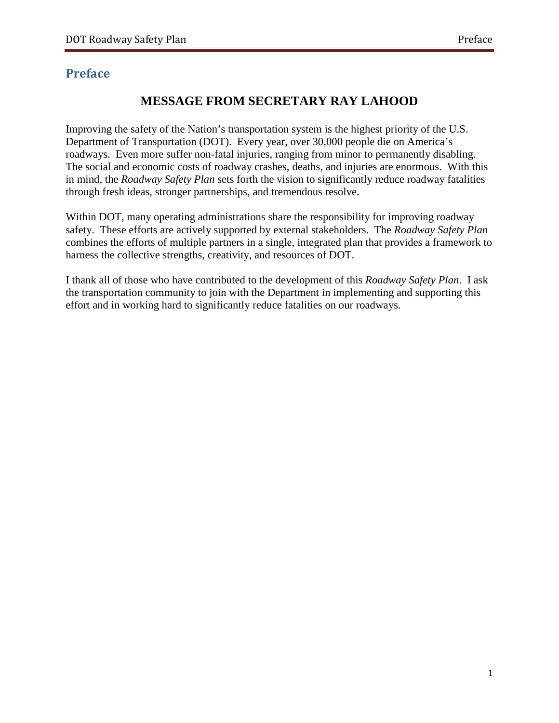# <span id="page-2-0"></span>**Preface**

# **MESSAGE FROM SECRETARY RAY LAHOOD**

Improving the safety of the Nation's transportation system is the highest priority of the U.S. Department of Transportation (DOT). Every year, over 30,000 people die on America's roadways. Even more suffer non-fatal injuries, ranging from minor to permanently disabling. The social and economic costs of roadway crashes, deaths, and injuries are enormous. With this in mind, the *Roadway Safety Plan* sets forth the vision to significantly reduce roadway fatalities through fresh ideas, stronger partnerships, and tremendous resolve.

Within DOT, many operating administrations share the responsibility for improving roadway safety. These efforts are actively supported by external stakeholders. The *Roadway Safety Plan* combines the efforts of multiple partners in a single, integrated plan that provides a framework to harness the collective strengths, creativity, and resources of DOT.

I thank all of those who have contributed to the development of this *Roadway Safety Plan*. I ask the transportation community to join with the Department in implementing and supporting this effort and in working hard to significantly reduce fatalities on our roadways.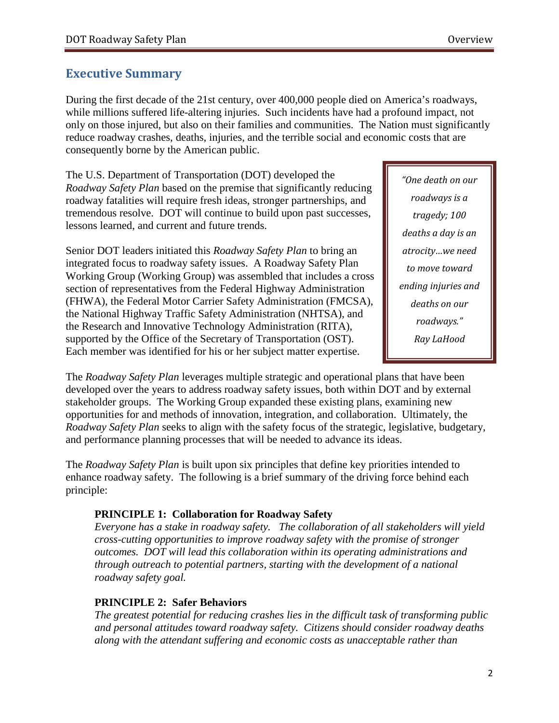# <span id="page-3-0"></span>**Executive Summary**

During the first decade of the 21st century, over 400,000 people died on America's roadways, while millions suffered life-altering injuries. Such incidents have had a profound impact, not only on those injured, but also on their families and communities. The Nation must significantly reduce roadway crashes, deaths, injuries, and the terrible social and economic costs that are consequently borne by the American public.

The U.S. Department of Transportation (DOT) developed the *Roadway Safety Plan* based on the premise that significantly reducing roadway fatalities will require fresh ideas, stronger partnerships, and tremendous resolve. DOT will continue to build upon past successes, lessons learned, and current and future trends.

Senior DOT leaders initiated this *Roadway Safety Plan* to bring an integrated focus to roadway safety issues. A Roadway Safety Plan Working Group (Working Group) was assembled that includes a cross section of representatives from the Federal Highway Administration (FHWA), the Federal Motor Carrier Safety Administration (FMCSA), the National Highway Traffic Safety Administration (NHTSA), and the Research and Innovative Technology Administration (RITA), supported by the Office of the Secretary of Transportation (OST). Each member was identified for his or her subject matter expertise.

*"One death on our roadways is a tragedy; 100 deaths a day is an atrocity…we need to move toward ending injuries and deaths on our roadways." Ray LaHood*

The *Roadway Safety Plan* leverages multiple strategic and operational plans that have been developed over the years to address roadway safety issues, both within DOT and by external stakeholder groups. The Working Group expanded these existing plans, examining new opportunities for and methods of innovation, integration, and collaboration. Ultimately, the *Roadway Safety Plan* seeks to align with the safety focus of the strategic, legislative, budgetary, and performance planning processes that will be needed to advance its ideas.

The *Roadway Safety Plan* is built upon six principles that define key priorities intended to enhance roadway safety. The following is a brief summary of the driving force behind each principle:

### **PRINCIPLE 1: Collaboration for Roadway Safety**

*Everyone has a stake in roadway safety. The collaboration of all stakeholders will yield cross-cutting opportunities to improve roadway safety with the promise of stronger outcomes. DOT will lead this collaboration within its operating administrations and through outreach to potential partners, starting with the development of a national roadway safety goal.* 

### **PRINCIPLE 2: Safer Behaviors**

*The greatest potential for reducing crashes lies in the difficult task of transforming public and personal attitudes toward roadway safety. Citizens should consider roadway deaths along with the attendant suffering and economic costs as unacceptable rather than*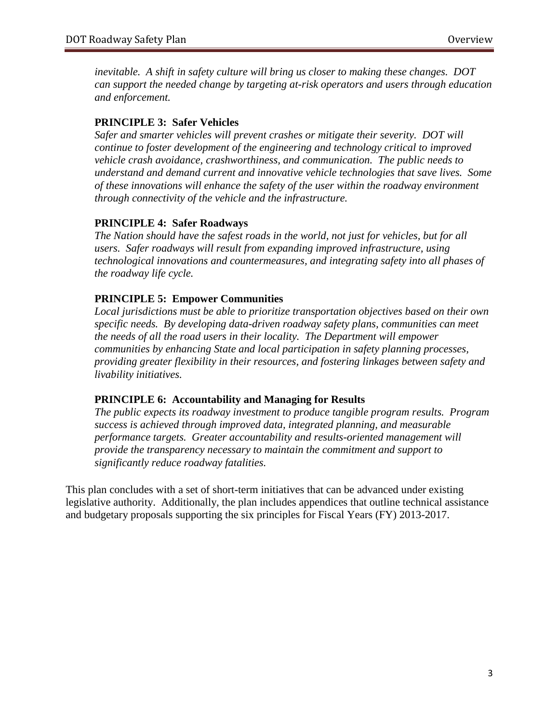*inevitable. A shift in safety culture will bring us closer to making these changes. DOT can support the needed change by targeting at-risk operators and users through education and enforcement.*

#### **PRINCIPLE 3: Safer Vehicles**

*Safer and smarter vehicles will prevent crashes or mitigate their severity. DOT will continue to foster development of the engineering and technology critical to improved vehicle crash avoidance, crashworthiness, and communication. The public needs to understand and demand current and innovative vehicle technologies that save lives. Some of these innovations will enhance the safety of the user within the roadway environment through connectivity of the vehicle and the infrastructure.*

#### **PRINCIPLE 4: Safer Roadways**

*The Nation should have the safest roads in the world, not just for vehicles, but for all users. Safer roadways will result from expanding improved infrastructure, using technological innovations and countermeasures, and integrating safety into all phases of the roadway life cycle.* 

#### **PRINCIPLE 5: Empower Communities**

*Local jurisdictions must be able to prioritize transportation objectives based on their own specific needs. By developing data-driven roadway safety plans, communities can meet the needs of all the road users in their locality. The Department will empower communities by enhancing State and local participation in safety planning processes, providing greater flexibility in their resources, and fostering linkages between safety and livability initiatives.* 

#### **PRINCIPLE 6: Accountability and Managing for Results**

*The public expects its roadway investment to produce tangible program results. Program success is achieved through improved data, integrated planning, and measurable performance targets. Greater accountability and results-oriented management will provide the transparency necessary to maintain the commitment and support to significantly reduce roadway fatalities.*

This plan concludes with a set of short-term initiatives that can be advanced under existing legislative authority. Additionally, the plan includes appendices that outline technical assistance and budgetary proposals supporting the six principles for Fiscal Years (FY) 2013-2017.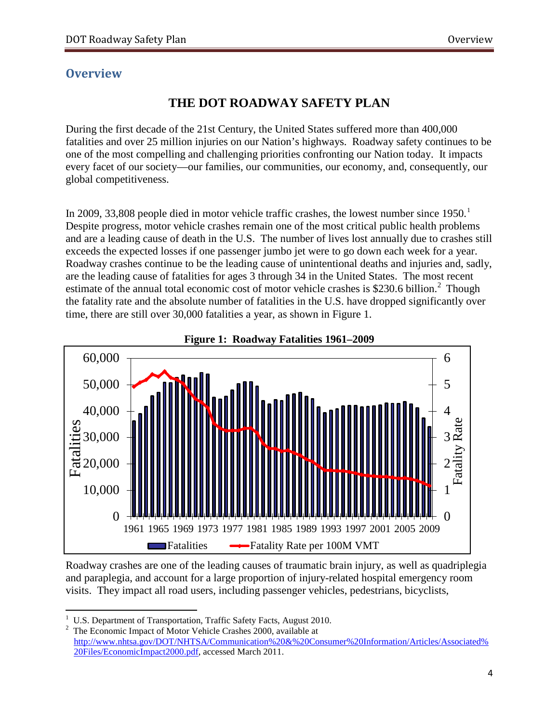# <span id="page-5-0"></span>**Overview**

# **THE DOT ROADWAY SAFETY PLAN**

During the first decade of the 21st Century, the United States suffered more than 400,000 fatalities and over 25 million injuries on our Nation's highways. Roadway safety continues to be one of the most compelling and challenging priorities confronting our Nation today. It impacts every facet of our society—our families, our communities, our economy, and, consequently, our global competitiveness.

In 2009, 33,808 people died in motor vehicle traffic crashes, the lowest number since  $1950<sup>1</sup>$  $1950<sup>1</sup>$ Despite progress, motor vehicle crashes remain one of the most critical public health problems and are a leading cause of death in the U.S. The number of lives lost annually due to crashes still exceeds the expected losses if one passenger jumbo jet were to go down each week for a year. Roadway crashes continue to be the leading cause of unintentional deaths and injuries and, sadly, are the leading cause of fatalities for ages 3 through 34 in the United States. The most recent estimate of the annual total economic cost of motor vehicle crashes is \$[2](#page-5-2)30.6 billion.<sup>2</sup> Though the fatality rate and the absolute number of fatalities in the U.S. have dropped significantly over time, there are still over 30,000 fatalities a year, as shown in Figure 1.





Roadway crashes are one of the leading causes of traumatic brain injury, as well as quadriplegia and paraplegia, and account for a large proportion of injury-related hospital emergency room visits. They impact all road users, including passenger vehicles, pedestrians, bicyclists,

<span id="page-5-1"></span> $\frac{1}{1}$ <sup>1</sup> U.S. Department of Transportation, Traffic Safety Facts, August 2010.<br><sup>2</sup> The Economic Impact of Motor Vehicle Crashes 2000, available at

<span id="page-5-2"></span>[http://www.nhtsa.gov/DOT/NHTSA/Communication%20&%20Consumer%20Information/Articles/Associated%](http://www.nhtsa.gov/DOT/NHTSA/Communication%20&%20Consumer%20Information/Articles/Associated%20Files/EconomicImpact2000.pdf) [20Files/EconomicImpact2000.pdf,](http://www.nhtsa.gov/DOT/NHTSA/Communication%20&%20Consumer%20Information/Articles/Associated%20Files/EconomicImpact2000.pdf) accessed March 2011.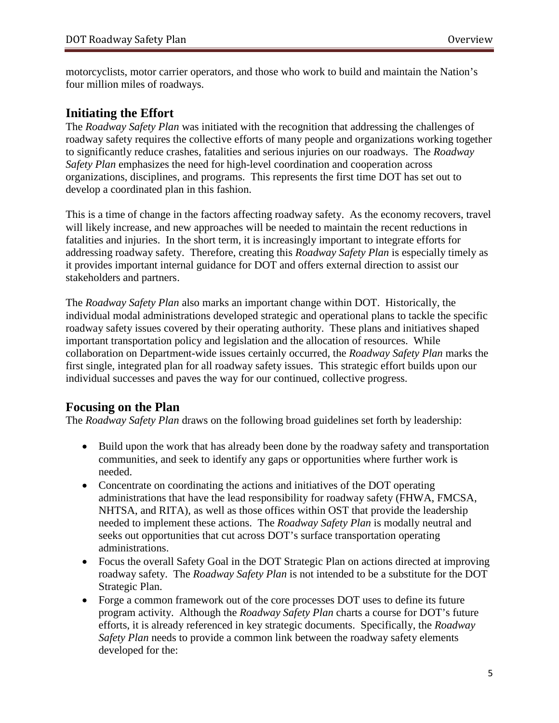motorcyclists, motor carrier operators, and those who work to build and maintain the Nation's four million miles of roadways.

### **Initiating the Effort**

The *Roadway Safety Plan* was initiated with the recognition that addressing the challenges of roadway safety requires the collective efforts of many people and organizations working together to significantly reduce crashes, fatalities and serious injuries on our roadways. The *Roadway Safety Plan* emphasizes the need for high-level coordination and cooperation across organizations, disciplines, and programs. This represents the first time DOT has set out to develop a coordinated plan in this fashion.

This is a time of change in the factors affecting roadway safety. As the economy recovers, travel will likely increase, and new approaches will be needed to maintain the recent reductions in fatalities and injuries. In the short term, it is increasingly important to integrate efforts for addressing roadway safety. Therefore, creating this *Roadway Safety Plan* is especially timely as it provides important internal guidance for DOT and offers external direction to assist our stakeholders and partners.

The *Roadway Safety Plan* also marks an important change within DOT. Historically, the individual modal administrations developed strategic and operational plans to tackle the specific roadway safety issues covered by their operating authority. These plans and initiatives shaped important transportation policy and legislation and the allocation of resources. While collaboration on Department-wide issues certainly occurred, the *Roadway Safety Plan* marks the first single, integrated plan for all roadway safety issues. This strategic effort builds upon our individual successes and paves the way for our continued, collective progress.

### **Focusing on the Plan**

The *Roadway Safety Plan* draws on the following broad guidelines set forth by leadership:

- Build upon the work that has already been done by the roadway safety and transportation communities, and seek to identify any gaps or opportunities where further work is needed.
- Concentrate on coordinating the actions and initiatives of the DOT operating administrations that have the lead responsibility for roadway safety (FHWA, FMCSA, NHTSA, and RITA), as well as those offices within OST that provide the leadership needed to implement these actions. The *Roadway Safety Plan* is modally neutral and seeks out opportunities that cut across DOT's surface transportation operating administrations.
- Focus the overall Safety Goal in the DOT Strategic Plan on actions directed at improving roadway safety. The *Roadway Safety Plan* is not intended to be a substitute for the DOT Strategic Plan.
- Forge a common framework out of the core processes DOT uses to define its future program activity. Although the *Roadway Safety Plan* charts a course for DOT's future efforts, it is already referenced in key strategic documents. Specifically, the *Roadway Safety Plan* needs to provide a common link between the roadway safety elements developed for the: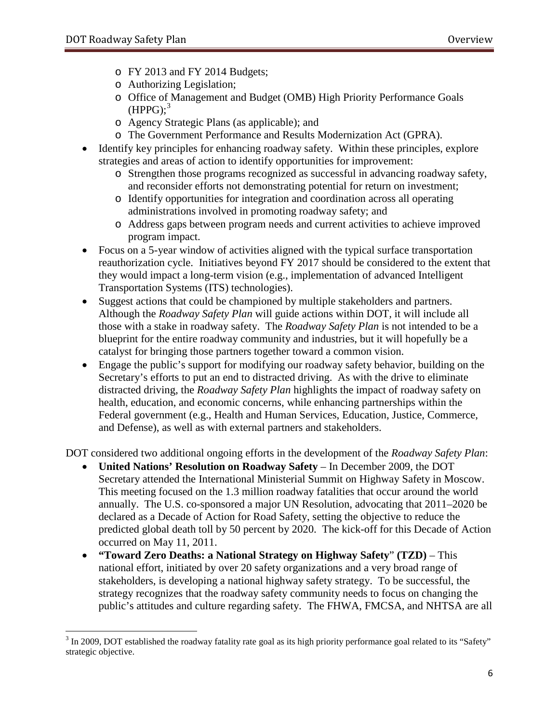- o FY 2013 and FY 2014 Budgets;
- o Authorizing Legislation;
- o Office of Management and Budget (OMB) High Priority Performance Goals  $(HPPG);$ <sup>[3](#page-7-0)</sup>
- o Agency Strategic Plans (as applicable); and
- o The Government Performance and Results Modernization Act (GPRA).
- Identify key principles for enhancing roadway safety. Within these principles, explore strategies and areas of action to identify opportunities for improvement:
	- o Strengthen those programs recognized as successful in advancing roadway safety, and reconsider efforts not demonstrating potential for return on investment;
	- o Identify opportunities for integration and coordination across all operating administrations involved in promoting roadway safety; and
	- o Address gaps between program needs and current activities to achieve improved program impact.
- Focus on a 5-year window of activities aligned with the typical surface transportation reauthorization cycle. Initiatives beyond FY 2017 should be considered to the extent that they would impact a long-term vision (e.g., implementation of advanced Intelligent Transportation Systems (ITS) technologies).
- Suggest actions that could be championed by multiple stakeholders and partners. Although the *Roadway Safety Plan* will guide actions within DOT*,* it will include all those with a stake in roadway safety. The *Roadway Safety Plan* is not intended to be a blueprint for the entire roadway community and industries, but it will hopefully be a catalyst for bringing those partners together toward a common vision.
- Engage the public's support for modifying our roadway safety behavior, building on the Secretary's efforts to put an end to distracted driving. As with the drive to eliminate distracted driving, the *Roadway Safety Plan* highlights the impact of roadway safety on health, education, and economic concerns, while enhancing partnerships within the Federal government (e.g., Health and Human Services, Education, Justice, Commerce, and Defense), as well as with external partners and stakeholders.

DOT considered two additional ongoing efforts in the development of the *Roadway Safety Plan*:

- **United Nations' Resolution on Roadway Safety** In December 2009, the DOT Secretary attended the International Ministerial Summit on Highway Safety in Moscow. This meeting focused on the 1.3 million roadway fatalities that occur around the world annually. The U.S. co-sponsored a major UN Resolution, advocating that 2011–2020 be declared as a Decade of Action for Road Safety, setting the objective to reduce the predicted global death toll by 50 percent by 2020. The kick-off for this Decade of Action occurred on May 11, 2011.
- **"Toward Zero Deaths: a National Strategy on Highway Safety**" **(TZD)**  This national effort, initiated by over 20 safety organizations and a very broad range of stakeholders, is developing a national highway safety strategy. To be successful, the strategy recognizes that the roadway safety community needs to focus on changing the public's attitudes and culture regarding safety. The FHWA, FMCSA, and NHTSA are all

<span id="page-7-0"></span><sup>&</sup>lt;sup>3</sup> In 2009. DOT established the roadway fatality rate goal as its high priority performance goal related to its "Safety" strategic objective.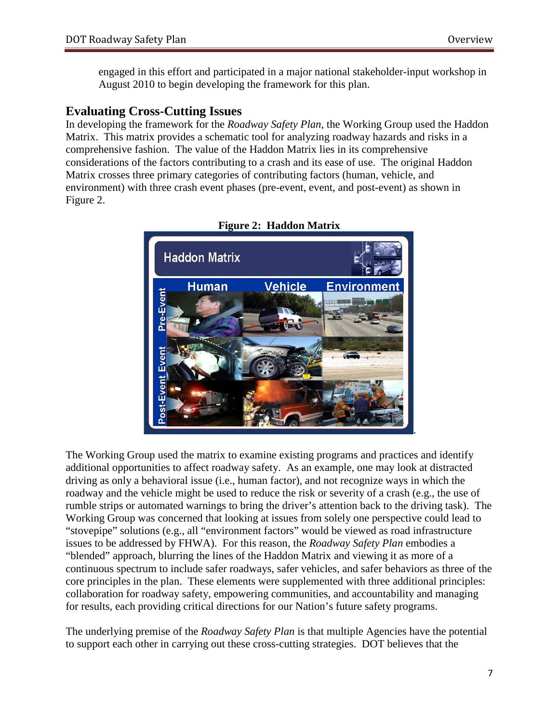engaged in this effort and participated in a major national stakeholder-input workshop in August 2010 to begin developing the framework for this plan.

# **Evaluating Cross-Cutting Issues**

In developing the framework for the *Roadway Safety Plan*, the Working Group used the Haddon Matrix. This matrix provides a schematic tool for analyzing roadway hazards and risks in a comprehensive fashion. The value of the Haddon Matrix lies in its comprehensive considerations of the factors contributing to a crash and its ease of use. The original Haddon Matrix crosses three primary categories of contributing factors (human, vehicle, and environment) with three crash event phases (pre-event, event, and post-event) as shown in Figure 2.



**Figure 2: Haddon Matrix**

The Working Group used the matrix to examine existing programs and practices and identify additional opportunities to affect roadway safety. As an example, one may look at distracted driving as only a behavioral issue (i.e., human factor), and not recognize ways in which the roadway and the vehicle might be used to reduce the risk or severity of a crash (e.g., the use of rumble strips or automated warnings to bring the driver's attention back to the driving task). The Working Group was concerned that looking at issues from solely one perspective could lead to "stovepipe" solutions (e.g., all "environment factors" would be viewed as road infrastructure issues to be addressed by FHWA). For this reason, the *Roadway Safety Plan* embodies a "blended" approach, blurring the lines of the Haddon Matrix and viewing it as more of a continuous spectrum to include safer roadways, safer vehicles, and safer behaviors as three of the core principles in the plan. These elements were supplemented with three additional principles: collaboration for roadway safety, empowering communities, and accountability and managing for results, each providing critical directions for our Nation's future safety programs.

The underlying premise of the *Roadway Safety Plan* is that multiple Agencies have the potential to support each other in carrying out these cross-cutting strategies. DOT believes that the

.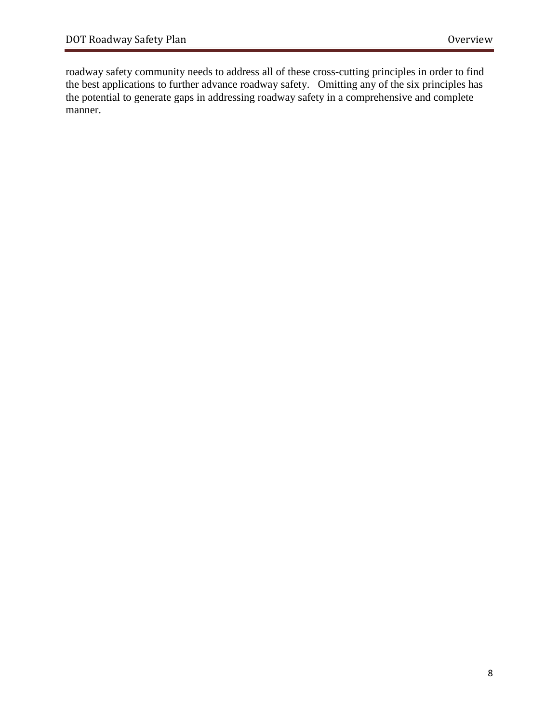roadway safety community needs to address all of these cross-cutting principles in order to find the best applications to further advance roadway safety. Omitting any of the six principles has the potential to generate gaps in addressing roadway safety in a comprehensive and complete manner.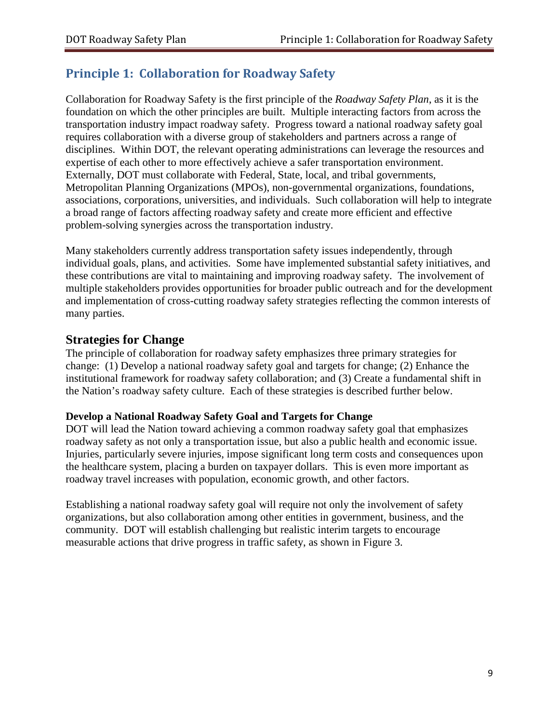# <span id="page-10-0"></span>**Principle 1: Collaboration for Roadway Safety**

Collaboration for Roadway Safety is the first principle of the *Roadway Safety Plan*, as it is the foundation on which the other principles are built. Multiple interacting factors from across the transportation industry impact roadway safety. Progress toward a national roadway safety goal requires collaboration with a diverse group of stakeholders and partners across a range of disciplines. Within DOT, the relevant operating administrations can leverage the resources and expertise of each other to more effectively achieve a safer transportation environment. Externally, DOT must collaborate with Federal, State, local, and tribal governments, Metropolitan Planning Organizations (MPOs), non-governmental organizations, foundations, associations, corporations, universities, and individuals. Such collaboration will help to integrate a broad range of factors affecting roadway safety and create more efficient and effective problem-solving synergies across the transportation industry.

Many stakeholders currently address transportation safety issues independently, through individual goals, plans, and activities. Some have implemented substantial safety initiatives, and these contributions are vital to maintaining and improving roadway safety. The involvement of multiple stakeholders provides opportunities for broader public outreach and for the development and implementation of cross-cutting roadway safety strategies reflecting the common interests of many parties.

### **Strategies for Change**

The principle of collaboration for roadway safety emphasizes three primary strategies for change: (1) Develop a national roadway safety goal and targets for change; (2) Enhance the institutional framework for roadway safety collaboration; and (3) Create a fundamental shift in the Nation's roadway safety culture. Each of these strategies is described further below.

#### **Develop a National Roadway Safety Goal and Targets for Change**

DOT will lead the Nation toward achieving a common roadway safety goal that emphasizes roadway safety as not only a transportation issue, but also a public health and economic issue. Injuries, particularly severe injuries, impose significant long term costs and consequences upon the healthcare system, placing a burden on taxpayer dollars. This is even more important as roadway travel increases with population, economic growth, and other factors.

Establishing a national roadway safety goal will require not only the involvement of safety organizations, but also collaboration among other entities in government, business, and the community. DOT will establish challenging but realistic interim targets to encourage measurable actions that drive progress in traffic safety, as shown in Figure 3.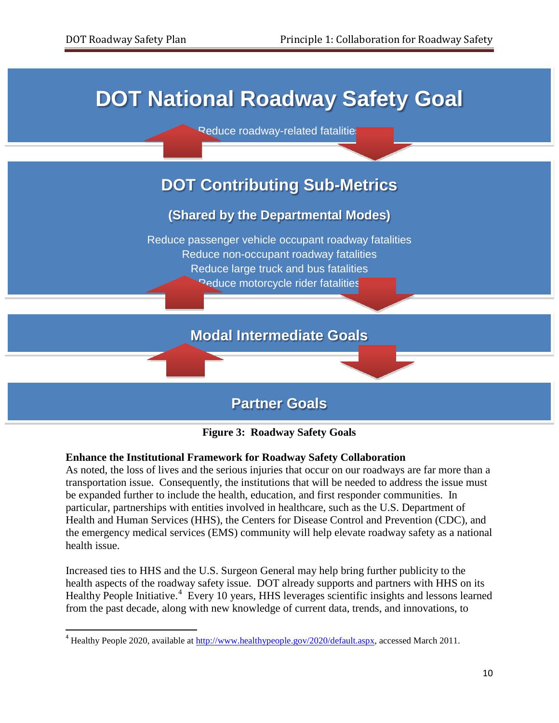# **DOT National Roadway Safety Goal**

Reduce roadway-related fatalities

# **DOT Contributing Sub-Metrics**

# **(Shared by the Departmental Modes)**

Reduce passenger vehicle occupant roadway fatalities Reduce non-occupant roadway fatalities Reduce large truck and bus fatalities **Peduce motorcycle rider fatalities** 

# **Modal Intermediate Goals**

# **Partner Goals**



#### **Enhance the Institutional Framework for Roadway Safety Collaboration**

As noted, the loss of lives and the serious injuries that occur on our roadways are far more than a transportation issue. Consequently, the institutions that will be needed to address the issue must be expanded further to include the health, education, and first responder communities. In particular, partnerships with entities involved in healthcare, such as the U.S. Department of Health and Human Services (HHS), the Centers for Disease Control and Prevention (CDC), and the emergency medical services (EMS) community will help elevate roadway safety as a national health issue.

Increased ties to HHS and the U.S. Surgeon General may help bring further publicity to the health aspects of the roadway safety issue. DOT already supports and partners with HHS on its Healthy People Initiative.<sup>[4](#page-11-0)</sup> Every 10 years, HHS leverages scientific insights and lessons learned from the past decade, along with new knowledge of current data, trends, and innovations, to

<span id="page-11-0"></span><sup>&</sup>lt;sup>4</sup> Healthy People 2020, available at [http://www.healthypeople.gov/2020/default.aspx,](http://www.healthypeople.gov/2020/default.aspx) accessed March 2011.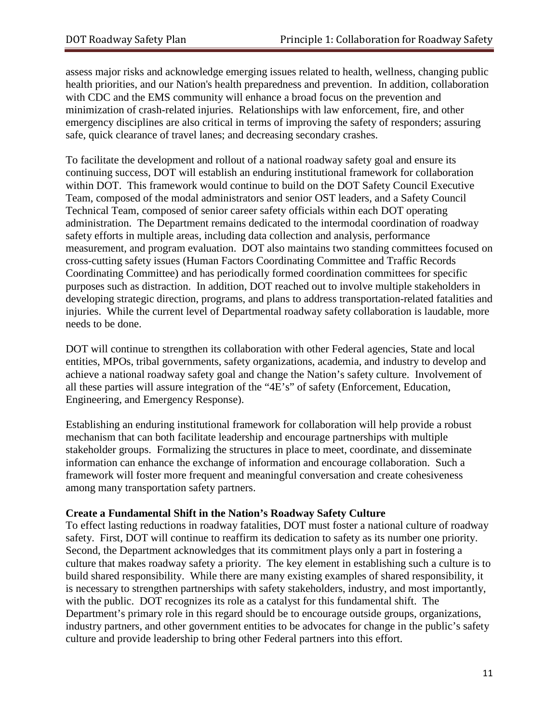assess major risks and acknowledge emerging issues related to health, wellness, changing public health priorities, and our Nation's health preparedness and prevention. In addition, collaboration with CDC and the EMS community will enhance a broad focus on the prevention and minimization of crash-related injuries. Relationships with law enforcement, fire, and other emergency disciplines are also critical in terms of improving the safety of responders; assuring safe, quick clearance of travel lanes; and decreasing secondary crashes.

To facilitate the development and rollout of a national roadway safety goal and ensure its continuing success, DOT will establish an enduring institutional framework for collaboration within DOT. This framework would continue to build on the DOT Safety Council Executive Team, composed of the modal administrators and senior OST leaders, and a Safety Council Technical Team, composed of senior career safety officials within each DOT operating administration. The Department remains dedicated to the intermodal coordination of roadway safety efforts in multiple areas, including data collection and analysis, performance measurement, and program evaluation. DOT also maintains two standing committees focused on cross-cutting safety issues (Human Factors Coordinating Committee and Traffic Records Coordinating Committee) and has periodically formed coordination committees for specific purposes such as distraction. In addition, DOT reached out to involve multiple stakeholders in developing strategic direction, programs, and plans to address transportation-related fatalities and injuries. While the current level of Departmental roadway safety collaboration is laudable, more needs to be done.

DOT will continue to strengthen its collaboration with other Federal agencies, State and local entities, MPOs, tribal governments, safety organizations, academia, and industry to develop and achieve a national roadway safety goal and change the Nation's safety culture. Involvement of all these parties will assure integration of the "4E's" of safety (Enforcement, Education, Engineering, and Emergency Response).

Establishing an enduring institutional framework for collaboration will help provide a robust mechanism that can both facilitate leadership and encourage partnerships with multiple stakeholder groups. Formalizing the structures in place to meet, coordinate, and disseminate information can enhance the exchange of information and encourage collaboration. Such a framework will foster more frequent and meaningful conversation and create cohesiveness among many transportation safety partners.

#### **Create a Fundamental Shift in the Nation's Roadway Safety Culture**

To effect lasting reductions in roadway fatalities, DOT must foster a national culture of roadway safety. First, DOT will continue to reaffirm its dedication to safety as its number one priority. Second, the Department acknowledges that its commitment plays only a part in fostering a culture that makes roadway safety a priority. The key element in establishing such a culture is to build shared responsibility. While there are many existing examples of shared responsibility, it is necessary to strengthen partnerships with safety stakeholders, industry, and most importantly, with the public. DOT recognizes its role as a catalyst for this fundamental shift. The Department's primary role in this regard should be to encourage outside groups, organizations, industry partners, and other government entities to be advocates for change in the public's safety culture and provide leadership to bring other Federal partners into this effort.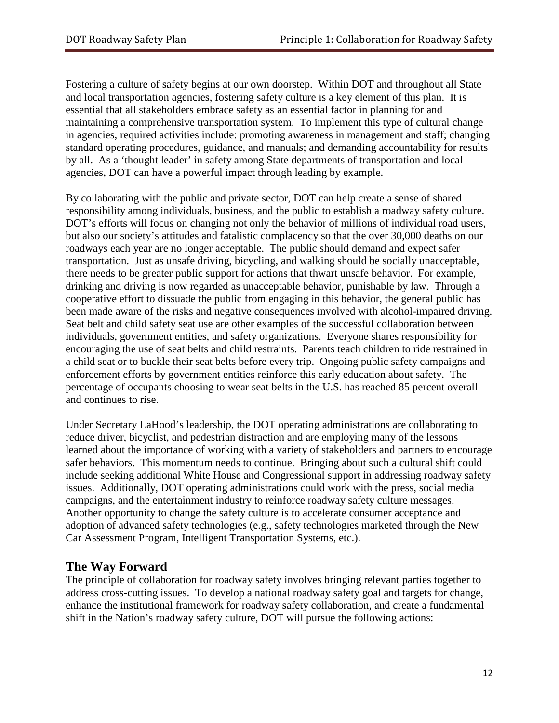Fostering a culture of safety begins at our own doorstep. Within DOT and throughout all State and local transportation agencies, fostering safety culture is a key element of this plan. It is essential that all stakeholders embrace safety as an essential factor in planning for and maintaining a comprehensive transportation system. To implement this type of cultural change in agencies, required activities include: promoting awareness in management and staff; changing standard operating procedures, guidance, and manuals; and demanding accountability for results by all. As a 'thought leader' in safety among State departments of transportation and local agencies, DOT can have a powerful impact through leading by example.

By collaborating with the public and private sector, DOT can help create a sense of shared responsibility among individuals, business, and the public to establish a roadway safety culture. DOT's efforts will focus on changing not only the behavior of millions of individual road users, but also our society's attitudes and fatalistic complacency so that the over 30,000 deaths on our roadways each year are no longer acceptable. The public should demand and expect safer transportation. Just as unsafe driving, bicycling, and walking should be socially unacceptable, there needs to be greater public support for actions that thwart unsafe behavior. For example, drinking and driving is now regarded as unacceptable behavior, punishable by law. Through a cooperative effort to dissuade the public from engaging in this behavior, the general public has been made aware of the risks and negative consequences involved with alcohol-impaired driving. Seat belt and child safety seat use are other examples of the successful collaboration between individuals, government entities, and safety organizations. Everyone shares responsibility for encouraging the use of seat belts and child restraints. Parents teach children to ride restrained in a child seat or to buckle their seat belts before every trip. Ongoing public safety campaigns and enforcement efforts by government entities reinforce this early education about safety. The percentage of occupants choosing to wear seat belts in the U.S. has reached 85 percent overall and continues to rise.

Under Secretary LaHood's leadership, the DOT operating administrations are collaborating to reduce driver, bicyclist, and pedestrian distraction and are employing many of the lessons learned about the importance of working with a variety of stakeholders and partners to encourage safer behaviors. This momentum needs to continue. Bringing about such a cultural shift could include seeking additional White House and Congressional support in addressing roadway safety issues. Additionally, DOT operating administrations could work with the press, social media campaigns, and the entertainment industry to reinforce roadway safety culture messages. Another opportunity to change the safety culture is to accelerate consumer acceptance and adoption of advanced safety technologies (e.g., safety technologies marketed through the New Car Assessment Program, Intelligent Transportation Systems, etc.).

# **The Way Forward**

The principle of collaboration for roadway safety involves bringing relevant parties together to address cross-cutting issues. To develop a national roadway safety goal and targets for change, enhance the institutional framework for roadway safety collaboration, and create a fundamental shift in the Nation's roadway safety culture, DOT will pursue the following actions: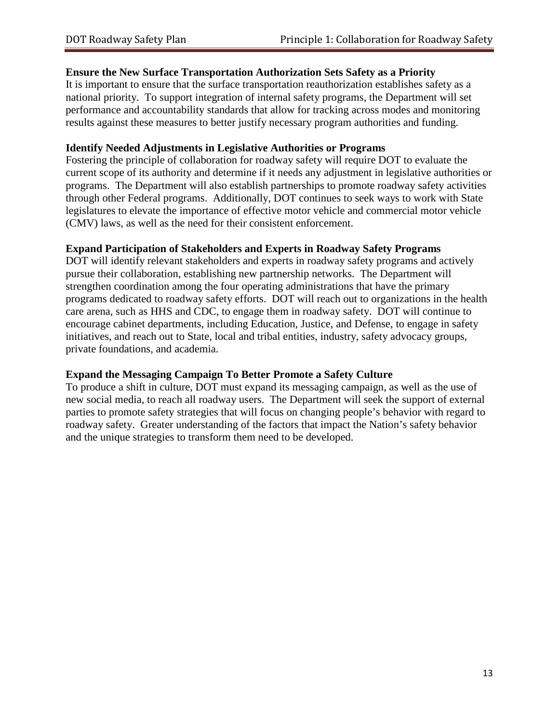#### **Ensure the New Surface Transportation Authorization Sets Safety as a Priority**

It is important to ensure that the surface transportation reauthorization establishes safety as a national priority. To support integration of internal safety programs, the Department will set performance and accountability standards that allow for tracking across modes and monitoring results against these measures to better justify necessary program authorities and funding.

#### **Identify Needed Adjustments in Legislative Authorities or Programs**

Fostering the principle of collaboration for roadway safety will require DOT to evaluate the current scope of its authority and determine if it needs any adjustment in legislative authorities or programs. The Department will also establish partnerships to promote roadway safety activities through other Federal programs. Additionally, DOT continues to seek ways to work with State legislatures to elevate the importance of effective motor vehicle and commercial motor vehicle (CMV) laws, as well as the need for their consistent enforcement.

#### **Expand Participation of Stakeholders and Experts in Roadway Safety Programs**

DOT will identify relevant stakeholders and experts in roadway safety programs and actively pursue their collaboration, establishing new partnership networks. The Department will strengthen coordination among the four operating administrations that have the primary programs dedicated to roadway safety efforts. DOT will reach out to organizations in the health care arena, such as HHS and CDC, to engage them in roadway safety. DOT will continue to encourage cabinet departments, including Education, Justice, and Defense, to engage in safety initiatives, and reach out to State, local and tribal entities, industry, safety advocacy groups, private foundations, and academia.

#### **Expand the Messaging Campaign To Better Promote a Safety Culture**

To produce a shift in culture, DOT must expand its messaging campaign, as well as the use of new social media, to reach all roadway users. The Department will seek the support of external parties to promote safety strategies that will focus on changing people's behavior with regard to roadway safety. Greater understanding of the factors that impact the Nation's safety behavior and the unique strategies to transform them need to be developed.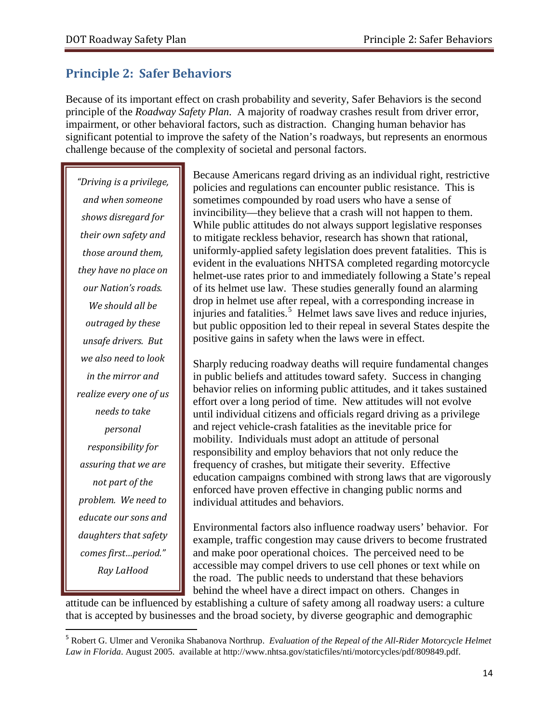# <span id="page-15-0"></span>**Principle 2: Safer Behaviors**

Because of its important effect on crash probability and severity, Safer Behaviors is the second principle of the *Roadway Safety Plan*. A majority of roadway crashes result from driver error, impairment, or other behavioral factors, such as distraction. Changing human behavior has significant potential to improve the safety of the Nation's roadways, but represents an enormous challenge because of the complexity of societal and personal factors.

*"Driving is a privilege, and when someone shows disregard for their own safety and those around them, they have no place on our Nation's roads. We should all be outraged by these unsafe drivers. But we also need to look in the mirror and realize every one of us needs to take personal responsibility for assuring that we are not part of the problem. We need to educate our sons and daughters that safety comes first…period." Ray LaHood*

Because Americans regard driving as an individual right, restrictive policies and regulations can encounter public resistance. This is sometimes compounded by road users who have a sense of invincibility—they believe that a crash will not happen to them. While public attitudes do not always support legislative responses to mitigate reckless behavior, research has shown that rational, uniformly-applied safety legislation does prevent fatalities. This is evident in the evaluations NHTSA completed regarding motorcycle helmet-use rates prior to and immediately following a State's repeal of its helmet use law. These studies generally found an alarming drop in helmet use after repeal, with a corresponding increase in injuries and fatalities.<sup>[5](#page-15-1)</sup> Helmet laws save lives and reduce injuries, but public opposition led to their repeal in several States despite the positive gains in safety when the laws were in effect.

Sharply reducing roadway deaths will require fundamental changes in public beliefs and attitudes toward safety. Success in changing behavior relies on informing public attitudes, and it takes sustained effort over a long period of time. New attitudes will not evolve until individual citizens and officials regard driving as a privilege and reject vehicle-crash fatalities as the inevitable price for mobility. Individuals must adopt an attitude of personal responsibility and employ behaviors that not only reduce the frequency of crashes, but mitigate their severity. Effective education campaigns combined with strong laws that are vigorously enforced have proven effective in changing public norms and individual attitudes and behaviors.

Environmental factors also influence roadway users' behavior. For example, traffic congestion may cause drivers to become frustrated and make poor operational choices. The perceived need to be accessible may compel drivers to use cell phones or text while on the road. The public needs to understand that these behaviors behind the wheel have a direct impact on others. Changes in

attitude can be influenced by establishing a culture of safety among all roadway users: a culture that is accepted by businesses and the broad society, by diverse geographic and demographic

<span id="page-15-1"></span> <sup>5</sup> Robert G. Ulmer and Veronika Shabanova Northrup. *Evaluation of the Repeal of the All-Rider Motorcycle Helmet Law in Florida*. August 2005. available at http://www.nhtsa.gov/staticfiles/nti/motorcycles/pdf/809849.pdf.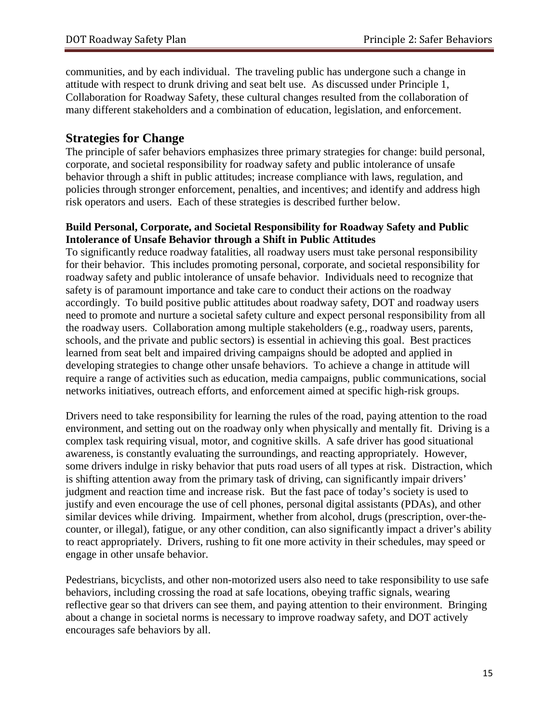communities, and by each individual. The traveling public has undergone such a change in attitude with respect to drunk driving and seat belt use. As discussed under Principle 1, Collaboration for Roadway Safety, these cultural changes resulted from the collaboration of many different stakeholders and a combination of education, legislation, and enforcement.

#### **Strategies for Change**

The principle of safer behaviors emphasizes three primary strategies for change: build personal, corporate, and societal responsibility for roadway safety and public intolerance of unsafe behavior through a shift in public attitudes; increase compliance with laws, regulation, and policies through stronger enforcement, penalties, and incentives; and identify and address high risk operators and users. Each of these strategies is described further below.

#### **Build Personal, Corporate, and Societal Responsibility for Roadway Safety and Public Intolerance of Unsafe Behavior through a Shift in Public Attitudes**

To significantly reduce roadway fatalities, all roadway users must take personal responsibility for their behavior. This includes promoting personal, corporate, and societal responsibility for roadway safety and public intolerance of unsafe behavior. Individuals need to recognize that safety is of paramount importance and take care to conduct their actions on the roadway accordingly. To build positive public attitudes about roadway safety, DOT and roadway users need to promote and nurture a societal safety culture and expect personal responsibility from all the roadway users. Collaboration among multiple stakeholders (e.g., roadway users, parents, schools, and the private and public sectors) is essential in achieving this goal. Best practices learned from seat belt and impaired driving campaigns should be adopted and applied in developing strategies to change other unsafe behaviors. To achieve a change in attitude will require a range of activities such as education, media campaigns, public communications, social networks initiatives, outreach efforts, and enforcement aimed at specific high-risk groups.

Drivers need to take responsibility for learning the rules of the road, paying attention to the road environment, and setting out on the roadway only when physically and mentally fit. Driving is a complex task requiring visual, motor, and cognitive skills. A safe driver has good situational awareness, is constantly evaluating the surroundings, and reacting appropriately. However, some drivers indulge in risky behavior that puts road users of all types at risk. Distraction, which is shifting attention away from the primary task of driving, can significantly impair drivers' judgment and reaction time and increase risk. But the fast pace of today's society is used to justify and even encourage the use of cell phones, personal digital assistants (PDAs), and other similar devices while driving. Impairment, whether from alcohol, drugs (prescription, over-thecounter, or illegal), fatigue, or any other condition, can also significantly impact a driver's ability to react appropriately. Drivers, rushing to fit one more activity in their schedules, may speed or engage in other unsafe behavior.

Pedestrians, bicyclists, and other non-motorized users also need to take responsibility to use safe behaviors, including crossing the road at safe locations, obeying traffic signals, wearing reflective gear so that drivers can see them, and paying attention to their environment. Bringing about a change in societal norms is necessary to improve roadway safety, and DOT actively encourages safe behaviors by all.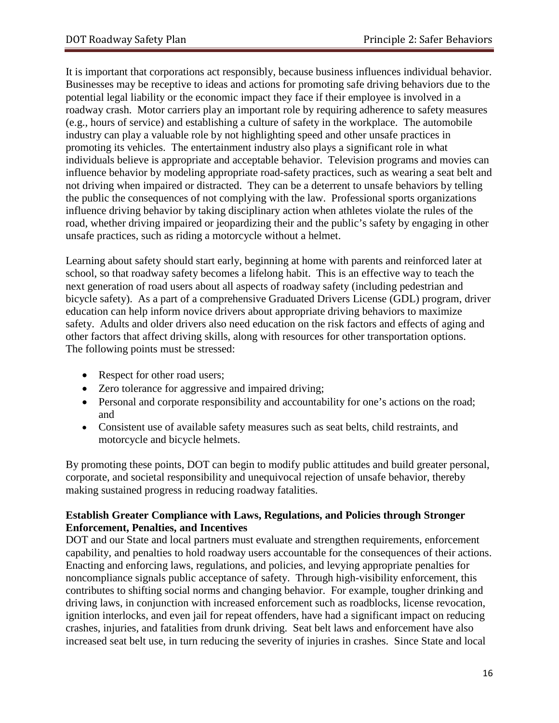It is important that corporations act responsibly, because business influences individual behavior. Businesses may be receptive to ideas and actions for promoting safe driving behaviors due to the potential legal liability or the economic impact they face if their employee is involved in a roadway crash. Motor carriers play an important role by requiring adherence to safety measures (e.g., hours of service) and establishing a culture of safety in the workplace. The automobile industry can play a valuable role by not highlighting speed and other unsafe practices in promoting its vehicles. The entertainment industry also plays a significant role in what individuals believe is appropriate and acceptable behavior. Television programs and movies can influence behavior by modeling appropriate road-safety practices, such as wearing a seat belt and not driving when impaired or distracted. They can be a deterrent to unsafe behaviors by telling the public the consequences of not complying with the law. Professional sports organizations influence driving behavior by taking disciplinary action when athletes violate the rules of the road, whether driving impaired or jeopardizing their and the public's safety by engaging in other unsafe practices, such as riding a motorcycle without a helmet.

Learning about safety should start early, beginning at home with parents and reinforced later at school, so that roadway safety becomes a lifelong habit. This is an effective way to teach the next generation of road users about all aspects of roadway safety (including pedestrian and bicycle safety). As a part of a comprehensive Graduated Drivers License (GDL) program, driver education can help inform novice drivers about appropriate driving behaviors to maximize safety. Adults and older drivers also need education on the risk factors and effects of aging and other factors that affect driving skills, along with resources for other transportation options. The following points must be stressed:

- Respect for other road users;
- Zero tolerance for aggressive and impaired driving;
- Personal and corporate responsibility and accountability for one's actions on the road; and
- Consistent use of available safety measures such as seat belts, child restraints, and motorcycle and bicycle helmets.

By promoting these points, DOT can begin to modify public attitudes and build greater personal, corporate, and societal responsibility and unequivocal rejection of unsafe behavior, thereby making sustained progress in reducing roadway fatalities.

#### **Establish Greater Compliance with Laws, Regulations, and Policies through Stronger Enforcement, Penalties, and Incentives**

DOT and our State and local partners must evaluate and strengthen requirements, enforcement capability, and penalties to hold roadway users accountable for the consequences of their actions. Enacting and enforcing laws, regulations, and policies, and levying appropriate penalties for noncompliance signals public acceptance of safety. Through high-visibility enforcement, this contributes to shifting social norms and changing behavior. For example, tougher drinking and driving laws, in conjunction with increased enforcement such as roadblocks, license revocation, ignition interlocks, and even jail for repeat offenders, have had a significant impact on reducing crashes, injuries, and fatalities from drunk driving. Seat belt laws and enforcement have also increased seat belt use, in turn reducing the severity of injuries in crashes. Since State and local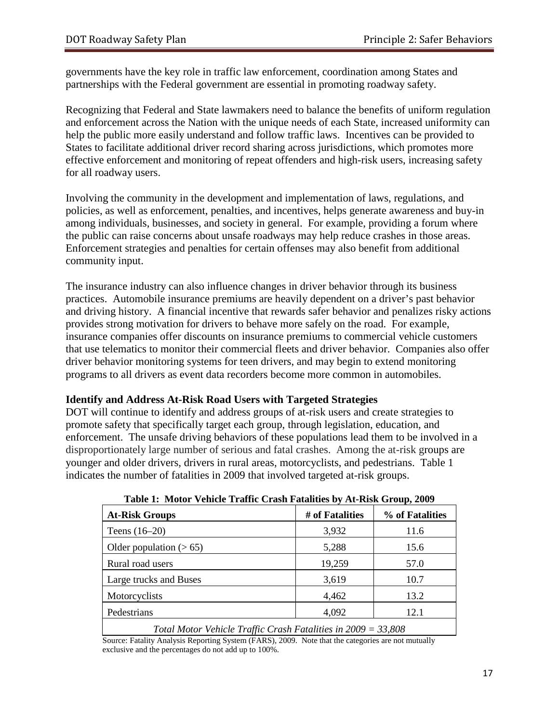governments have the key role in traffic law enforcement, coordination among States and partnerships with the Federal government are essential in promoting roadway safety.

Recognizing that Federal and State lawmakers need to balance the benefits of uniform regulation and enforcement across the Nation with the unique needs of each State, increased uniformity can help the public more easily understand and follow traffic laws. Incentives can be provided to States to facilitate additional driver record sharing across jurisdictions, which promotes more effective enforcement and monitoring of repeat offenders and high-risk users, increasing safety for all roadway users.

Involving the community in the development and implementation of laws, regulations, and policies, as well as enforcement, penalties, and incentives, helps generate awareness and buy-in among individuals, businesses, and society in general. For example, providing a forum where the public can raise concerns about unsafe roadways may help reduce crashes in those areas. Enforcement strategies and penalties for certain offenses may also benefit from additional community input.

The insurance industry can also influence changes in driver behavior through its business practices. Automobile insurance premiums are heavily dependent on a driver's past behavior and driving history. A financial incentive that rewards safer behavior and penalizes risky actions provides strong motivation for drivers to behave more safely on the road. For example, insurance companies offer discounts on insurance premiums to commercial vehicle customers that use telematics to monitor their commercial fleets and driver behavior. Companies also offer driver behavior monitoring systems for teen drivers, and may begin to extend monitoring programs to all drivers as event data recorders become more common in automobiles.

#### **Identify and Address At-Risk Road Users with Targeted Strategies**

DOT will continue to identify and address groups of at-risk users and create strategies to promote safety that specifically target each group, through legislation, education, and enforcement. The unsafe driving behaviors of these populations lead them to be involved in a disproportionately large number of serious and fatal crashes. Among the at-risk groups are younger and older drivers, drivers in rural areas, motorcyclists, and pedestrians. Table 1 indicates the number of fatalities in 2009 that involved targeted at-risk groups.

| <b>At-Risk Groups</b>                                           | # of Fatalities | % of Fatalities |  |
|-----------------------------------------------------------------|-----------------|-----------------|--|
| Teens $(16-20)$                                                 | 3,932           | 11.6            |  |
| Older population $(> 65)$                                       | 5,288           | 15.6            |  |
| Rural road users                                                | 19,259          | 57.0            |  |
| Large trucks and Buses                                          | 3,619           | 10.7            |  |
| Motorcyclists                                                   | 4,462           | 13.2            |  |
| Pedestrians                                                     | 4,092           | 12.1            |  |
| Total Motor Vehicle Traffic Crash Fatalities in $2009 = 33,808$ |                 |                 |  |

|  |  |  |  |  | Table 1: Motor Vehicle Traffic Crash Fatalities by At-Risk Group, 2009 |  |  |  |  |
|--|--|--|--|--|------------------------------------------------------------------------|--|--|--|--|
|--|--|--|--|--|------------------------------------------------------------------------|--|--|--|--|

Source: Fatality Analysis Reporting System (FARS), 2009. Note that the categories are not mutually exclusive and the percentages do not add up to 100%.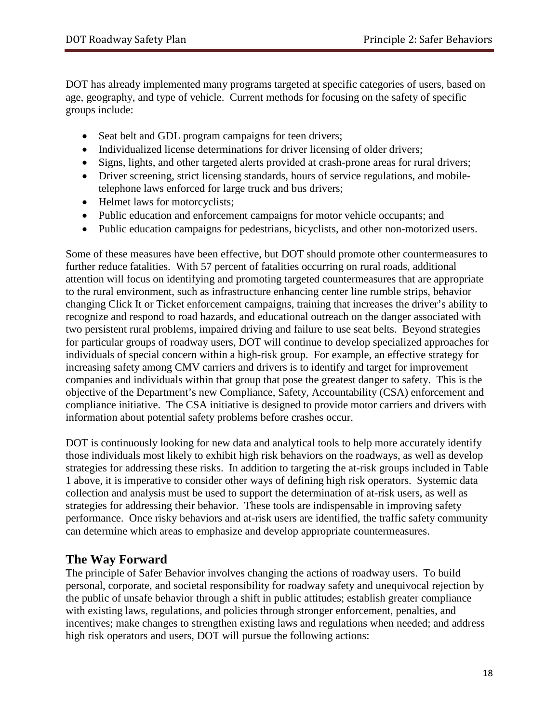DOT has already implemented many programs targeted at specific categories of users, based on age, geography, and type of vehicle. Current methods for focusing on the safety of specific groups include:

- Seat belt and GDL program campaigns for teen drivers;
- Individualized license determinations for driver licensing of older drivers;
- Signs, lights, and other targeted alerts provided at crash-prone areas for rural drivers;
- Driver screening, strict licensing standards, hours of service regulations, and mobiletelephone laws enforced for large truck and bus drivers;
- Helmet laws for motorcyclists;
- Public education and enforcement campaigns for motor vehicle occupants; and
- Public education campaigns for pedestrians, bicyclists, and other non-motorized users.

Some of these measures have been effective, but DOT should promote other countermeasures to further reduce fatalities. With 57 percent of fatalities occurring on rural roads, additional attention will focus on identifying and promoting targeted countermeasures that are appropriate to the rural environment, such as infrastructure enhancing center line rumble strips, behavior changing Click It or Ticket enforcement campaigns, training that increases the driver's ability to recognize and respond to road hazards, and educational outreach on the danger associated with two persistent rural problems, impaired driving and failure to use seat belts. Beyond strategies for particular groups of roadway users, DOT will continue to develop specialized approaches for individuals of special concern within a high-risk group. For example, an effective strategy for increasing safety among CMV carriers and drivers is to identify and target for improvement companies and individuals within that group that pose the greatest danger to safety. This is the objective of the Department's new Compliance, Safety, Accountability (CSA) enforcement and compliance initiative. The CSA initiative is designed to provide motor carriers and drivers with information about potential safety problems before crashes occur.

DOT is continuously looking for new data and analytical tools to help more accurately identify those individuals most likely to exhibit high risk behaviors on the roadways, as well as develop strategies for addressing these risks. In addition to targeting the at-risk groups included in Table 1 above, it is imperative to consider other ways of defining high risk operators. Systemic data collection and analysis must be used to support the determination of at-risk users, as well as strategies for addressing their behavior. These tools are indispensable in improving safety performance. Once risky behaviors and at-risk users are identified, the traffic safety community can determine which areas to emphasize and develop appropriate countermeasures.

# **The Way Forward**

The principle of Safer Behavior involves changing the actions of roadway users. To build personal, corporate, and societal responsibility for roadway safety and unequivocal rejection by the public of unsafe behavior through a shift in public attitudes; establish greater compliance with existing laws, regulations, and policies through stronger enforcement, penalties, and incentives; make changes to strengthen existing laws and regulations when needed; and address high risk operators and users, DOT will pursue the following actions: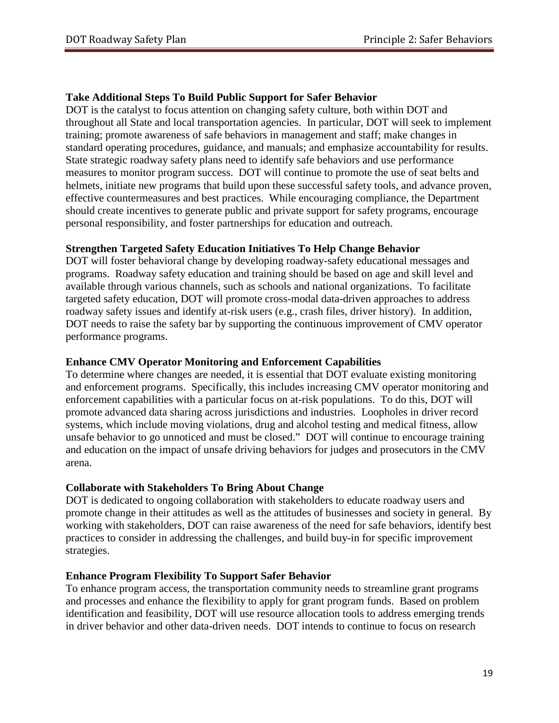#### **Take Additional Steps To Build Public Support for Safer Behavior**

DOT is the catalyst to focus attention on changing safety culture, both within DOT and throughout all State and local transportation agencies. In particular, DOT will seek to implement training; promote awareness of safe behaviors in management and staff; make changes in standard operating procedures, guidance, and manuals; and emphasize accountability for results. State strategic roadway safety plans need to identify safe behaviors and use performance measures to monitor program success. DOT will continue to promote the use of seat belts and helmets, initiate new programs that build upon these successful safety tools, and advance proven, effective countermeasures and best practices. While encouraging compliance, the Department should create incentives to generate public and private support for safety programs, encourage personal responsibility, and foster partnerships for education and outreach.

#### **Strengthen Targeted Safety Education Initiatives To Help Change Behavior**

DOT will foster behavioral change by developing roadway-safety educational messages and programs. Roadway safety education and training should be based on age and skill level and available through various channels, such as schools and national organizations. To facilitate targeted safety education, DOT will promote cross-modal data-driven approaches to address roadway safety issues and identify at-risk users (e.g., crash files, driver history). In addition, DOT needs to raise the safety bar by supporting the continuous improvement of CMV operator performance programs.

#### **Enhance CMV Operator Monitoring and Enforcement Capabilities**

To determine where changes are needed, it is essential that DOT evaluate existing monitoring and enforcement programs. Specifically, this includes increasing CMV operator monitoring and enforcement capabilities with a particular focus on at-risk populations. To do this, DOT will promote advanced data sharing across jurisdictions and industries. Loopholes in driver record systems, which include moving violations, drug and alcohol testing and medical fitness, allow unsafe behavior to go unnoticed and must be closed." DOT will continue to encourage training and education on the impact of unsafe driving behaviors for judges and prosecutors in the CMV arena.

#### **Collaborate with Stakeholders To Bring About Change**

DOT is dedicated to ongoing collaboration with stakeholders to educate roadway users and promote change in their attitudes as well as the attitudes of businesses and society in general. By working with stakeholders, DOT can raise awareness of the need for safe behaviors, identify best practices to consider in addressing the challenges, and build buy-in for specific improvement strategies.

#### **Enhance Program Flexibility To Support Safer Behavior**

To enhance program access, the transportation community needs to streamline grant programs and processes and enhance the flexibility to apply for grant program funds. Based on problem identification and feasibility, DOT will use resource allocation tools to address emerging trends in driver behavior and other data-driven needs. DOT intends to continue to focus on research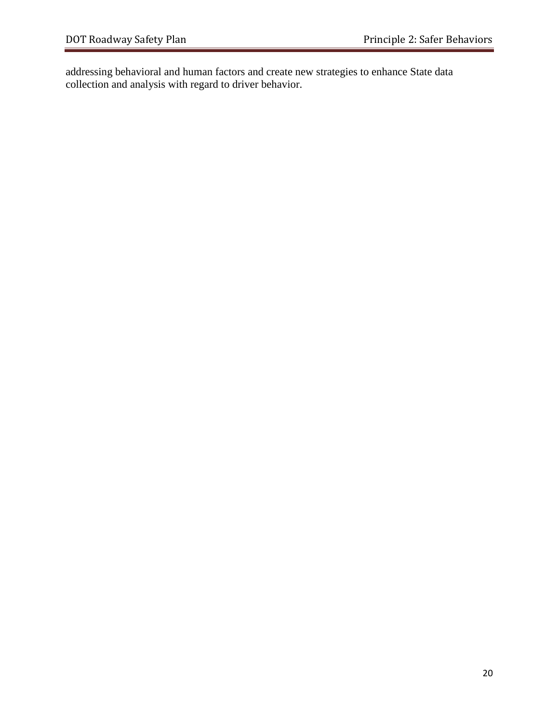addressing behavioral and human factors and create new strategies to enhance State data collection and analysis with regard to driver behavior.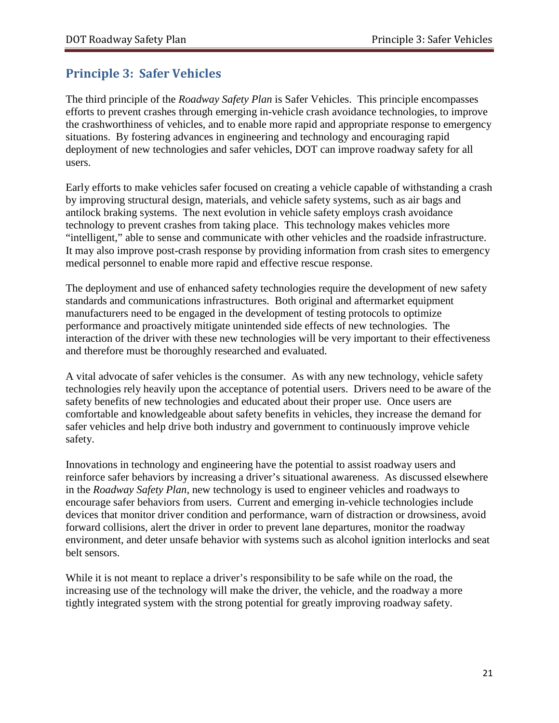# <span id="page-22-0"></span>**Principle 3: Safer Vehicles**

The third principle of the *Roadway Safety Plan* is Safer Vehicles. This principle encompasses efforts to prevent crashes through emerging in-vehicle crash avoidance technologies, to improve the crashworthiness of vehicles, and to enable more rapid and appropriate response to emergency situations. By fostering advances in engineering and technology and encouraging rapid deployment of new technologies and safer vehicles, DOT can improve roadway safety for all users.

Early efforts to make vehicles safer focused on creating a vehicle capable of withstanding a crash by improving structural design, materials, and vehicle safety systems, such as air bags and antilock braking systems. The next evolution in vehicle safety employs crash avoidance technology to prevent crashes from taking place. This technology makes vehicles more "intelligent," able to sense and communicate with other vehicles and the roadside infrastructure. It may also improve post-crash response by providing information from crash sites to emergency medical personnel to enable more rapid and effective rescue response.

The deployment and use of enhanced safety technologies require the development of new safety standards and communications infrastructures. Both original and aftermarket equipment manufacturers need to be engaged in the development of testing protocols to optimize performance and proactively mitigate unintended side effects of new technologies. The interaction of the driver with these new technologies will be very important to their effectiveness and therefore must be thoroughly researched and evaluated.

A vital advocate of safer vehicles is the consumer. As with any new technology, vehicle safety technologies rely heavily upon the acceptance of potential users. Drivers need to be aware of the safety benefits of new technologies and educated about their proper use. Once users are comfortable and knowledgeable about safety benefits in vehicles, they increase the demand for safer vehicles and help drive both industry and government to continuously improve vehicle safety.

Innovations in technology and engineering have the potential to assist roadway users and reinforce safer behaviors by increasing a driver's situational awareness. As discussed elsewhere in the *Roadway Safety Plan*, new technology is used to engineer vehicles and roadways to encourage safer behaviors from users. Current and emerging in-vehicle technologies include devices that monitor driver condition and performance, warn of distraction or drowsiness, avoid forward collisions, alert the driver in order to prevent lane departures, monitor the roadway environment, and deter unsafe behavior with systems such as alcohol ignition interlocks and seat belt sensors.

While it is not meant to replace a driver's responsibility to be safe while on the road, the increasing use of the technology will make the driver, the vehicle, and the roadway a more tightly integrated system with the strong potential for greatly improving roadway safety.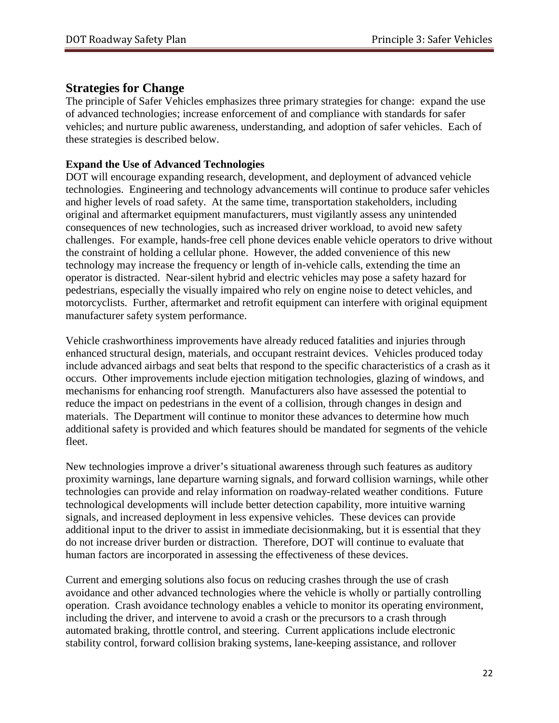#### **Strategies for Change**

The principle of Safer Vehicles emphasizes three primary strategies for change: expand the use of advanced technologies; increase enforcement of and compliance with standards for safer vehicles; and nurture public awareness, understanding, and adoption of safer vehicles. Each of these strategies is described below.

#### **Expand the Use of Advanced Technologies**

DOT will encourage expanding research, development, and deployment of advanced vehicle technologies. Engineering and technology advancements will continue to produce safer vehicles and higher levels of road safety. At the same time, transportation stakeholders, including original and aftermarket equipment manufacturers, must vigilantly assess any unintended consequences of new technologies, such as increased driver workload, to avoid new safety challenges. For example, hands-free cell phone devices enable vehicle operators to drive without the constraint of holding a cellular phone. However, the added convenience of this new technology may increase the frequency or length of in-vehicle calls, extending the time an operator is distracted. Near-silent hybrid and electric vehicles may pose a safety hazard for pedestrians, especially the visually impaired who rely on engine noise to detect vehicles, and motorcyclists. Further, aftermarket and retrofit equipment can interfere with original equipment manufacturer safety system performance.

Vehicle crashworthiness improvements have already reduced fatalities and injuries through enhanced structural design, materials, and occupant restraint devices. Vehicles produced today include advanced airbags and seat belts that respond to the specific characteristics of a crash as it occurs. Other improvements include ejection mitigation technologies, glazing of windows, and mechanisms for enhancing roof strength. Manufacturers also have assessed the potential to reduce the impact on pedestrians in the event of a collision, through changes in design and materials. The Department will continue to monitor these advances to determine how much additional safety is provided and which features should be mandated for segments of the vehicle fleet.

New technologies improve a driver's situational awareness through such features as auditory proximity warnings, lane departure warning signals, and forward collision warnings, while other technologies can provide and relay information on roadway-related weather conditions. Future technological developments will include better detection capability, more intuitive warning signals, and increased deployment in less expensive vehicles. These devices can provide additional input to the driver to assist in immediate decisionmaking, but it is essential that they do not increase driver burden or distraction. Therefore, DOT will continue to evaluate that human factors are incorporated in assessing the effectiveness of these devices.

Current and emerging solutions also focus on reducing crashes through the use of crash avoidance and other advanced technologies where the vehicle is wholly or partially controlling operation. Crash avoidance technology enables a vehicle to monitor its operating environment, including the driver, and intervene to avoid a crash or the precursors to a crash through automated braking, throttle control, and steering. Current applications include electronic stability control, forward collision braking systems, lane-keeping assistance, and rollover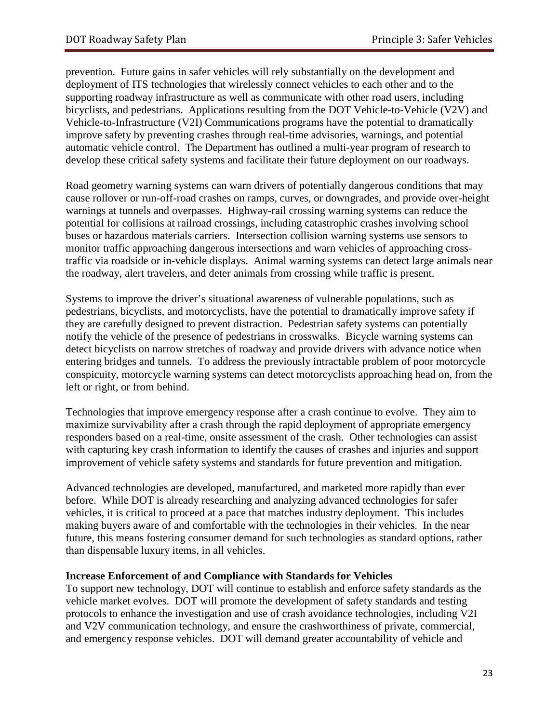prevention. Future gains in safer vehicles will rely substantially on the development and deployment of ITS technologies that wirelessly connect vehicles to each other and to the supporting roadway infrastructure as well as communicate with other road users, including bicyclists, and pedestrians. Applications resulting from the DOT Vehicle-to-Vehicle (V2V) and Vehicle-to-Infrastructure (V2I) Communications programs have the potential to dramatically improve safety by preventing crashes through real-time advisories, warnings, and potential automatic vehicle control. The Department has outlined a multi-year program of research to develop these critical safety systems and facilitate their future deployment on our roadways.

Road geometry warning systems can warn drivers of potentially dangerous conditions that may cause rollover or run-off-road crashes on ramps, curves, or downgrades, and provide over-height warnings at tunnels and overpasses. Highway-rail crossing warning systems can reduce the potential for collisions at railroad crossings, including catastrophic crashes involving school buses or hazardous materials carriers. Intersection collision warning systems use sensors to monitor traffic approaching dangerous intersections and warn vehicles of approaching crosstraffic via roadside or in-vehicle displays. Animal warning systems can detect large animals near the roadway, alert travelers, and deter animals from crossing while traffic is present.

Systems to improve the driver's situational awareness of vulnerable populations, such as pedestrians, bicyclists, and motorcyclists, have the potential to dramatically improve safety if they are carefully designed to prevent distraction. Pedestrian safety systems can potentially notify the vehicle of the presence of pedestrians in crosswalks. Bicycle warning systems can detect bicyclists on narrow stretches of roadway and provide drivers with advance notice when entering bridges and tunnels. To address the previously intractable problem of poor motorcycle conspicuity, motorcycle warning systems can detect motorcyclists approaching head on, from the left or right, or from behind.

Technologies that improve emergency response after a crash continue to evolve. They aim to maximize survivability after a crash through the rapid deployment of appropriate emergency responders based on a real-time, onsite assessment of the crash. Other technologies can assist with capturing key crash information to identify the causes of crashes and injuries and support improvement of vehicle safety systems and standards for future prevention and mitigation.

Advanced technologies are developed, manufactured, and marketed more rapidly than ever before. While DOT is already researching and analyzing advanced technologies for safer vehicles, it is critical to proceed at a pace that matches industry deployment. This includes making buyers aware of and comfortable with the technologies in their vehicles. In the near future, this means fostering consumer demand for such technologies as standard options, rather than dispensable luxury items, in all vehicles.

#### **Increase Enforcement of and Compliance with Standards for Vehicles**

To support new technology, DOT will continue to establish and enforce safety standards as the vehicle market evolves. DOT will promote the development of safety standards and testing protocols to enhance the investigation and use of crash avoidance technologies, including V2I and V2V communication technology, and ensure the crashworthiness of private, commercial, and emergency response vehicles. DOT will demand greater accountability of vehicle and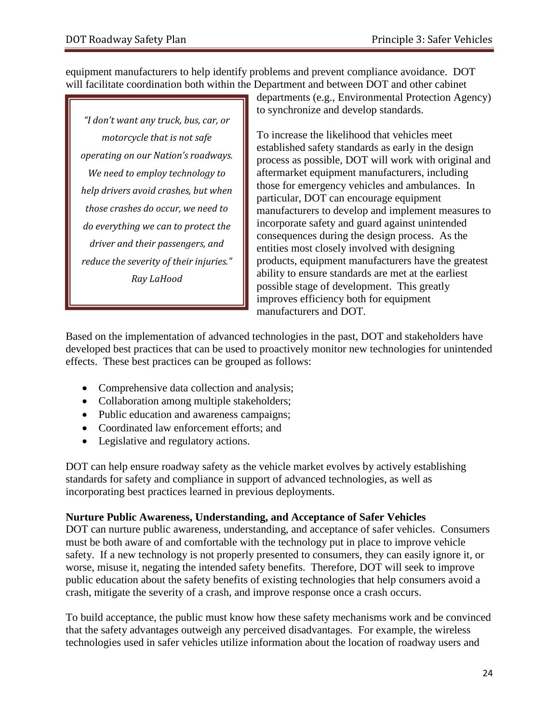equipment manufacturers to help identify problems and prevent compliance avoidance. DOT will facilitate coordination both within the Department and between DOT and other cabinet

*"I don't want any truck, bus, car, or motorcycle that is not safe operating on our Nation's roadways. We need to employ technology to help drivers avoid crashes, but when those crashes do occur, we need to do everything we can to protect the driver and their passengers, and reduce the severity of their injuries." Ray LaHood*

departments (e.g., Environmental Protection Agency) to synchronize and develop standards.

To increase the likelihood that vehicles meet established safety standards as early in the design process as possible, DOT will work with original and aftermarket equipment manufacturers, including those for emergency vehicles and ambulances. In particular, DOT can encourage equipment manufacturers to develop and implement measures to incorporate safety and guard against unintended consequences during the design process. As the entities most closely involved with designing products, equipment manufacturers have the greatest ability to ensure standards are met at the earliest possible stage of development. This greatly improves efficiency both for equipment manufacturers and DOT.

Based on the implementation of advanced technologies in the past, DOT and stakeholders have developed best practices that can be used to proactively monitor new technologies for unintended effects. These best practices can be grouped as follows:

- Comprehensive data collection and analysis;
- Collaboration among multiple stakeholders;
- Public education and awareness campaigns;
- Coordinated law enforcement efforts: and
- Legislative and regulatory actions.

DOT can help ensure roadway safety as the vehicle market evolves by actively establishing standards for safety and compliance in support of advanced technologies, as well as incorporating best practices learned in previous deployments.

#### **Nurture Public Awareness, Understanding, and Acceptance of Safer Vehicles**

DOT can nurture public awareness, understanding, and acceptance of safer vehicles. Consumers must be both aware of and comfortable with the technology put in place to improve vehicle safety. If a new technology is not properly presented to consumers, they can easily ignore it, or worse, misuse it, negating the intended safety benefits. Therefore, DOT will seek to improve public education about the safety benefits of existing technologies that help consumers avoid a crash, mitigate the severity of a crash, and improve response once a crash occurs.

To build acceptance, the public must know how these safety mechanisms work and be convinced that the safety advantages outweigh any perceived disadvantages. For example, the wireless technologies used in safer vehicles utilize information about the location of roadway users and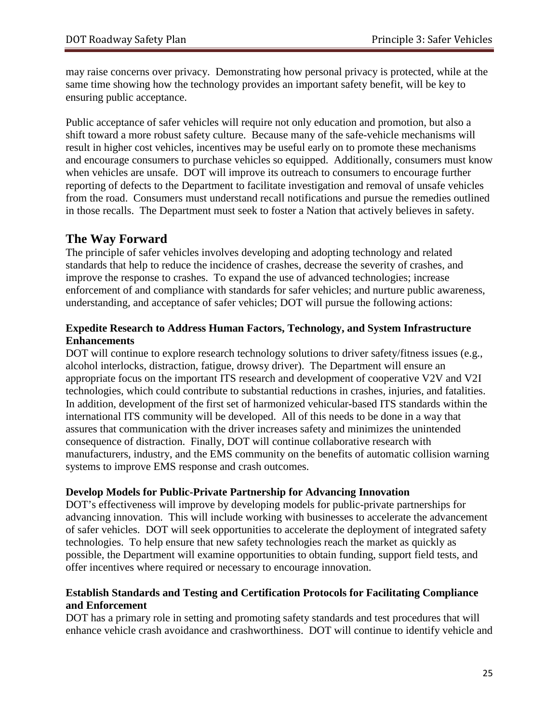may raise concerns over privacy. Demonstrating how personal privacy is protected, while at the same time showing how the technology provides an important safety benefit, will be key to ensuring public acceptance.

Public acceptance of safer vehicles will require not only education and promotion, but also a shift toward a more robust safety culture. Because many of the safe-vehicle mechanisms will result in higher cost vehicles, incentives may be useful early on to promote these mechanisms and encourage consumers to purchase vehicles so equipped. Additionally, consumers must know when vehicles are unsafe. DOT will improve its outreach to consumers to encourage further reporting of defects to the Department to facilitate investigation and removal of unsafe vehicles from the road. Consumers must understand recall notifications and pursue the remedies outlined in those recalls. The Department must seek to foster a Nation that actively believes in safety.

# **The Way Forward**

The principle of safer vehicles involves developing and adopting technology and related standards that help to reduce the incidence of crashes, decrease the severity of crashes, and improve the response to crashes. To expand the use of advanced technologies; increase enforcement of and compliance with standards for safer vehicles; and nurture public awareness, understanding, and acceptance of safer vehicles; DOT will pursue the following actions:

#### **Expedite Research to Address Human Factors, Technology, and System Infrastructure Enhancements**

DOT will continue to explore research technology solutions to driver safety/fitness issues (e.g., alcohol interlocks, distraction, fatigue, drowsy driver). The Department will ensure an appropriate focus on the important ITS research and development of cooperative V2V and V2I technologies, which could contribute to substantial reductions in crashes, injuries, and fatalities. In addition, development of the first set of harmonized vehicular-based ITS standards within the international ITS community will be developed. All of this needs to be done in a way that assures that communication with the driver increases safety and minimizes the unintended consequence of distraction. Finally, DOT will continue collaborative research with manufacturers, industry, and the EMS community on the benefits of automatic collision warning systems to improve EMS response and crash outcomes.

#### **Develop Models for Public-Private Partnership for Advancing Innovation**

DOT's effectiveness will improve by developing models for public-private partnerships for advancing innovation. This will include working with businesses to accelerate the advancement of safer vehicles. DOT will seek opportunities to accelerate the deployment of integrated safety technologies. To help ensure that new safety technologies reach the market as quickly as possible, the Department will examine opportunities to obtain funding, support field tests, and offer incentives where required or necessary to encourage innovation.

#### **Establish Standards and Testing and Certification Protocols for Facilitating Compliance and Enforcement**

DOT has a primary role in setting and promoting safety standards and test procedures that will enhance vehicle crash avoidance and crashworthiness. DOT will continue to identify vehicle and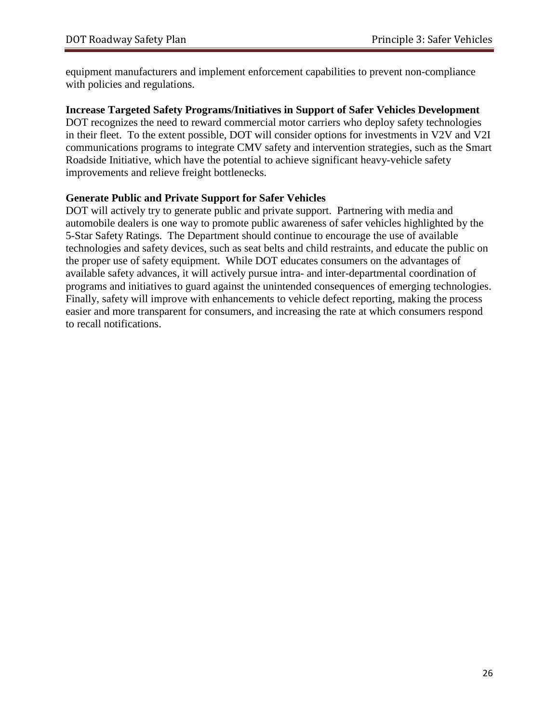equipment manufacturers and implement enforcement capabilities to prevent non-compliance with policies and regulations.

#### **Increase Targeted Safety Programs/Initiatives in Support of Safer Vehicles Development**

DOT recognizes the need to reward commercial motor carriers who deploy safety technologies in their fleet. To the extent possible, DOT will consider options for investments in V2V and V2I communications programs to integrate CMV safety and intervention strategies, such as the Smart Roadside Initiative, which have the potential to achieve significant heavy-vehicle safety improvements and relieve freight bottlenecks.

#### **Generate Public and Private Support for Safer Vehicles**

DOT will actively try to generate public and private support. Partnering with media and automobile dealers is one way to promote public awareness of safer vehicles highlighted by the 5-Star Safety Ratings. The Department should continue to encourage the use of available technologies and safety devices, such as seat belts and child restraints, and educate the public on the proper use of safety equipment. While DOT educates consumers on the advantages of available safety advances, it will actively pursue intra- and inter-departmental coordination of programs and initiatives to guard against the unintended consequences of emerging technologies. Finally, safety will improve with enhancements to vehicle defect reporting, making the process easier and more transparent for consumers, and increasing the rate at which consumers respond to recall notifications.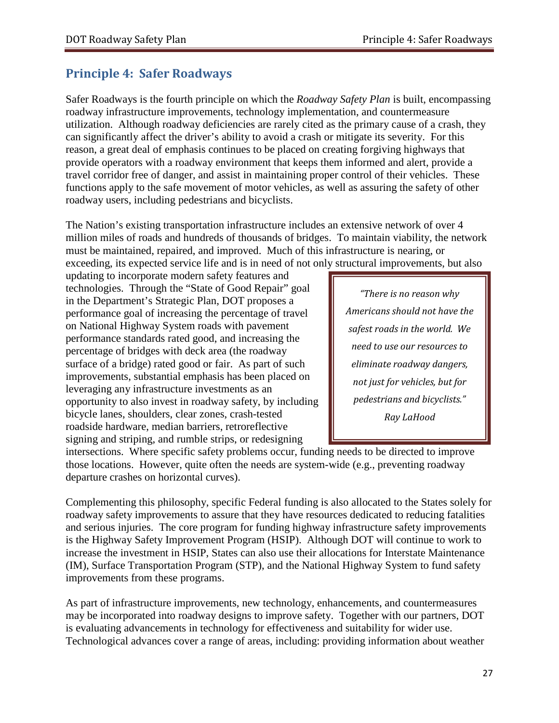# <span id="page-28-0"></span>**Principle 4: Safer Roadways**

Safer Roadways is the fourth principle on which the *Roadway Safety Plan* is built, encompassing roadway infrastructure improvements, technology implementation, and countermeasure utilization.Although roadway deficiencies are rarely cited as the primary cause of a crash, they can significantly affect the driver's ability to avoid a crash or mitigate its severity. For this reason, a great deal of emphasis continues to be placed on creating forgiving highways that provide operators with a roadway environment that keeps them informed and alert, provide a travel corridor free of danger, and assist in maintaining proper control of their vehicles. These functions apply to the safe movement of motor vehicles, as well as assuring the safety of other roadway users, including pedestrians and bicyclists.

The Nation's existing transportation infrastructure includes an extensive network of over 4 million miles of roads and hundreds of thousands of bridges. To maintain viability, the network must be maintained, repaired, and improved. Much of this infrastructure is nearing, or exceeding, its expected service life and is in need of not only structural improvements, but also

updating to incorporate modern safety features and technologies. Through the "State of Good Repair" goal in the Department's Strategic Plan, DOT proposes a performance goal of increasing the percentage of travel on National Highway System roads with pavement performance standards rated good, and increasing the percentage of bridges with deck area (the roadway surface of a bridge) rated good or fair. As part of such improvements, substantial emphasis has been placed on leveraging any infrastructure investments as an opportunity to also invest in roadway safety, by including bicycle lanes, shoulders, clear zones, crash-tested roadside hardware, median barriers, retroreflective signing and striping, and rumble strips, or redesigning

*"There is no reason why Americans should not have the safest roads in the world. We need to use our resources to eliminate roadway dangers, not just for vehicles, but for pedestrians and bicyclists." Ray LaHood*

intersections. Where specific safety problems occur, funding needs to be directed to improve those locations. However, quite often the needs are system-wide (e.g., preventing roadway departure crashes on horizontal curves).

Complementing this philosophy, specific Federal funding is also allocated to the States solely for roadway safety improvements to assure that they have resources dedicated to reducing fatalities and serious injuries. The core program for funding highway infrastructure safety improvements is the Highway Safety Improvement Program (HSIP). Although DOT will continue to work to increase the investment in HSIP, States can also use their allocations for Interstate Maintenance (IM), Surface Transportation Program (STP), and the National Highway System to fund safety improvements from these programs.

As part of infrastructure improvements, new technology, enhancements, and countermeasures may be incorporated into roadway designs to improve safety. Together with our partners, DOT is evaluating advancements in technology for effectiveness and suitability for wider use. Technological advances cover a range of areas, including: providing information about weather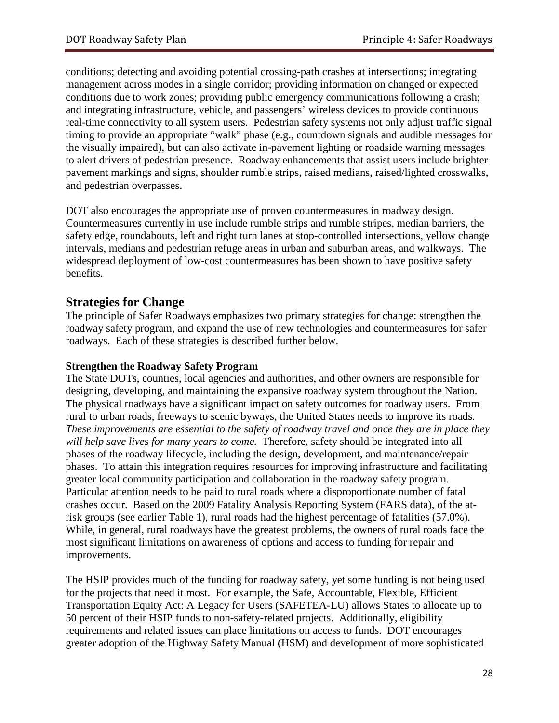conditions; detecting and avoiding potential crossing-path crashes at intersections; integrating management across modes in a single corridor; providing information on changed or expected conditions due to work zones; providing public emergency communications following a crash; and integrating infrastructure, vehicle, and passengers' wireless devices to provide continuous real-time connectivity to all system users. Pedestrian safety systems not only adjust traffic signal timing to provide an appropriate "walk" phase (e.g., countdown signals and audible messages for the visually impaired), but can also activate in-pavement lighting or roadside warning messages to alert drivers of pedestrian presence. Roadway enhancements that assist users include brighter pavement markings and signs, shoulder rumble strips, raised medians, raised/lighted crosswalks, and pedestrian overpasses.

DOT also encourages the appropriate use of proven countermeasures in roadway design. Countermeasures currently in use include rumble strips and rumble stripes, median barriers, the safety edge, roundabouts, left and right turn lanes at stop-controlled intersections, yellow change intervals, medians and pedestrian refuge areas in urban and suburban areas, and walkways. The widespread deployment of low-cost countermeasures has been shown to have positive safety benefits.

### **Strategies for Change**

The principle of Safer Roadways emphasizes two primary strategies for change: strengthen the roadway safety program, and expand the use of new technologies and countermeasures for safer roadways. Each of these strategies is described further below.

#### **Strengthen the Roadway Safety Program**

The State DOTs, counties, local agencies and authorities, and other owners are responsible for designing, developing, and maintaining the expansive roadway system throughout the Nation. The physical roadways have a significant impact on safety outcomes for roadway users. From rural to urban roads, freeways to scenic byways, the United States needs to improve its roads. *These improvements are essential to the safety of roadway travel and once they are in place they will help save lives for many years to come.* Therefore, safety should be integrated into all phases of the roadway lifecycle, including the design, development, and maintenance/repair phases. To attain this integration requires resources for improving infrastructure and facilitating greater local community participation and collaboration in the roadway safety program. Particular attention needs to be paid to rural roads where a disproportionate number of fatal crashes occur. Based on the 2009 Fatality Analysis Reporting System (FARS data), of the atrisk groups (see earlier Table 1), rural roads had the highest percentage of fatalities (57.0%). While, in general, rural roadways have the greatest problems, the owners of rural roads face the most significant limitations on awareness of options and access to funding for repair and improvements.

The HSIP provides much of the funding for roadway safety, yet some funding is not being used for the projects that need it most. For example, the Safe, Accountable, Flexible, Efficient Transportation Equity Act: A Legacy for Users (SAFETEA-LU) allows States to allocate up to 50 percent of their HSIP funds to non-safety-related projects. Additionally, eligibility requirements and related issues can place limitations on access to funds. DOT encourages greater adoption of the Highway Safety Manual (HSM) and development of more sophisticated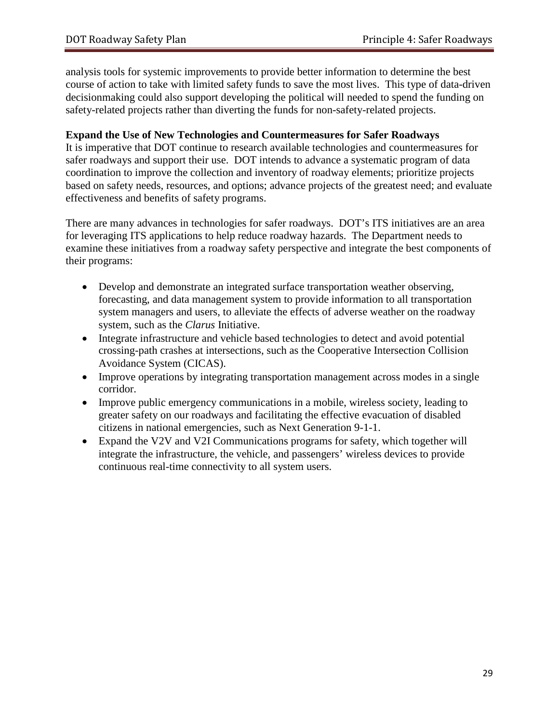analysis tools for systemic improvements to provide better information to determine the best course of action to take with limited safety funds to save the most lives. This type of data-driven decisionmaking could also support developing the political will needed to spend the funding on safety-related projects rather than diverting the funds for non-safety-related projects.

#### **Expand the Use of New Technologies and Countermeasures for Safer Roadways**

It is imperative that DOT continue to research available technologies and countermeasures for safer roadways and support their use. DOT intends to advance a systematic program of data coordination to improve the collection and inventory of roadway elements; prioritize projects based on safety needs, resources, and options; advance projects of the greatest need; and evaluate effectiveness and benefits of safety programs.

There are many advances in technologies for safer roadways. DOT's ITS initiatives are an area for leveraging ITS applications to help reduce roadway hazards. The Department needs to examine these initiatives from a roadway safety perspective and integrate the best components of their programs:

- Develop and demonstrate an integrated surface transportation weather observing, forecasting, and data management system to provide information to all transportation system managers and users, to alleviate the effects of adverse weather on the roadway system, such as the *Clarus* Initiative.
- Integrate infrastructure and vehicle based technologies to detect and avoid potential crossing-path crashes at intersections, such as the Cooperative Intersection Collision Avoidance System (CICAS).
- Improve operations by integrating transportation management across modes in a single corridor.
- Improve public emergency communications in a mobile, wireless society, leading to greater safety on our roadways and facilitating the effective evacuation of disabled citizens in national emergencies, such as Next Generation 9-1-1.
- Expand the V2V and V2I Communications programs for safety, which together will integrate the infrastructure, the vehicle, and passengers' wireless devices to provide continuous real-time connectivity to all system users.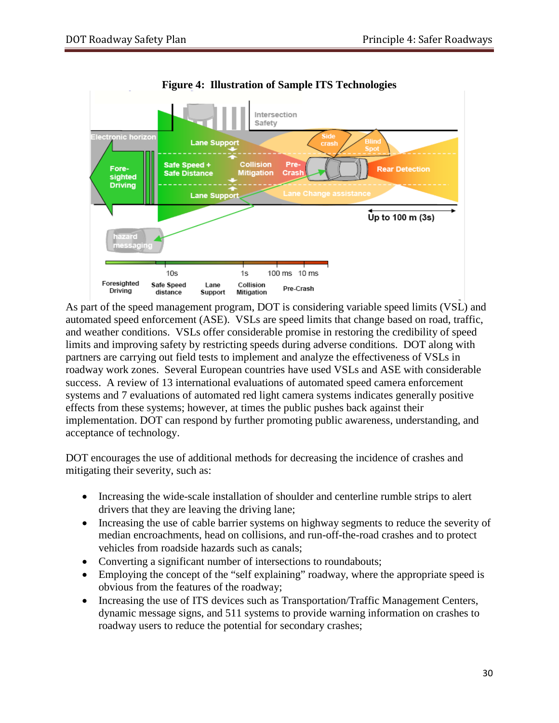

**Figure 4: Illustration of Sample ITS Technologies**

As part of the speed management program, DOT is considering variable speed limits (VSL) and automated speed enforcement (ASE). VSLs are speed limits that change based on road, traffic, and weather conditions. VSLs offer considerable promise in restoring the credibility of speed limits and improving safety by restricting speeds during adverse conditions. DOT along with partners are carrying out field tests to implement and analyze the effectiveness of VSLs in roadway work zones. Several European countries have used VSLs and ASE with considerable success. A review of 13 international evaluations of automated speed camera enforcement systems and 7 evaluations of automated red light camera systems indicates generally positive effects from these systems; however, at times the public pushes back against their implementation. DOT can respond by further promoting public awareness, understanding, and acceptance of technology.

DOT encourages the use of additional methods for decreasing the incidence of crashes and mitigating their severity, such as:

- Increasing the wide-scale installation of shoulder and centerline rumble strips to alert drivers that they are leaving the driving lane;
- Increasing the use of cable barrier systems on highway segments to reduce the severity of median encroachments, head on collisions, and run-off-the-road crashes and to protect vehicles from roadside hazards such as canals;
- Converting a significant number of intersections to roundabouts;
- Employing the concept of the "self explaining" roadway, where the appropriate speed is obvious from the features of the roadway;
- Increasing the use of ITS devices such as Transportation/Traffic Management Centers, dynamic message signs, and 511 systems to provide warning information on crashes to roadway users to reduce the potential for secondary crashes;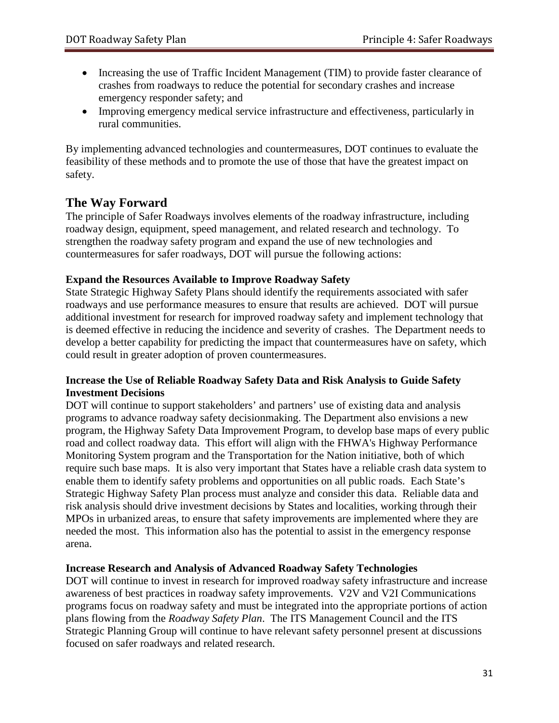- Increasing the use of Traffic Incident Management (TIM) to provide faster clearance of crashes from roadways to reduce the potential for secondary crashes and increase emergency responder safety; and
- Improving emergency medical service infrastructure and effectiveness, particularly in rural communities.

By implementing advanced technologies and countermeasures, DOT continues to evaluate the feasibility of these methods and to promote the use of those that have the greatest impact on safety.

# **The Way Forward**

The principle of Safer Roadways involves elements of the roadway infrastructure, including roadway design, equipment, speed management, and related research and technology. To strengthen the roadway safety program and expand the use of new technologies and countermeasures for safer roadways, DOT will pursue the following actions:

#### **Expand the Resources Available to Improve Roadway Safety**

State Strategic Highway Safety Plans should identify the requirements associated with safer roadways and use performance measures to ensure that results are achieved. DOT will pursue additional investment for research for improved roadway safety and implement technology that is deemed effective in reducing the incidence and severity of crashes. The Department needs to develop a better capability for predicting the impact that countermeasures have on safety, which could result in greater adoption of proven countermeasures.

#### **Increase the Use of Reliable Roadway Safety Data and Risk Analysis to Guide Safety Investment Decisions**

DOT will continue to support stakeholders' and partners' use of existing data and analysis programs to advance roadway safety decisionmaking. The Department also envisions a new program, the Highway Safety Data Improvement Program, to develop base maps of every public road and collect roadway data. This effort will align with the FHWA's Highway Performance Monitoring System program and the Transportation for the Nation initiative, both of which require such base maps. It is also very important that States have a reliable crash data system to enable them to identify safety problems and opportunities on all public roads. Each State's Strategic Highway Safety Plan process must analyze and consider this data. Reliable data and risk analysis should drive investment decisions by States and localities, working through their MPOs in urbanized areas, to ensure that safety improvements are implemented where they are needed the most. This information also has the potential to assist in the emergency response arena.

#### **Increase Research and Analysis of Advanced Roadway Safety Technologies**

DOT will continue to invest in research for improved roadway safety infrastructure and increase awareness of best practices in roadway safety improvements. V2V and V2I Communications programs focus on roadway safety and must be integrated into the appropriate portions of action plans flowing from the *Roadway Safety Plan*. The ITS Management Council and the ITS Strategic Planning Group will continue to have relevant safety personnel present at discussions focused on safer roadways and related research.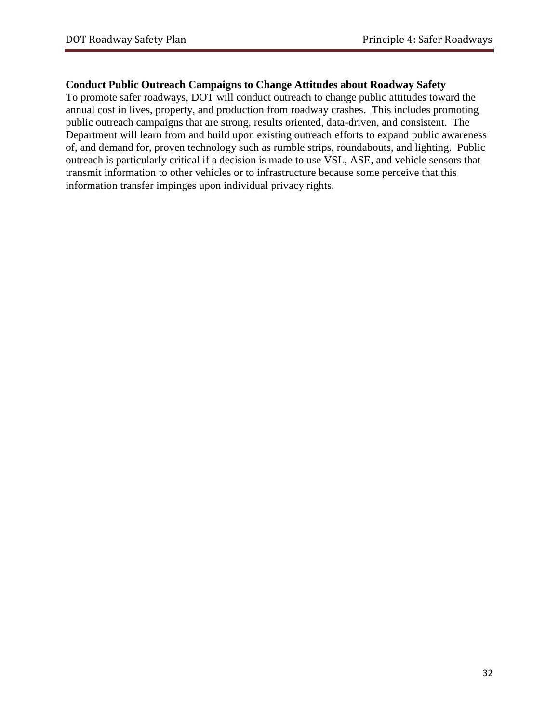#### **Conduct Public Outreach Campaigns to Change Attitudes about Roadway Safety**

To promote safer roadways, DOT will conduct outreach to change public attitudes toward the annual cost in lives, property, and production from roadway crashes. This includes promoting public outreach campaigns that are strong, results oriented, data-driven, and consistent. The Department will learn from and build upon existing outreach efforts to expand public awareness of, and demand for, proven technology such as rumble strips, roundabouts, and lighting. Public outreach is particularly critical if a decision is made to use VSL, ASE, and vehicle sensors that transmit information to other vehicles or to infrastructure because some perceive that this information transfer impinges upon individual privacy rights.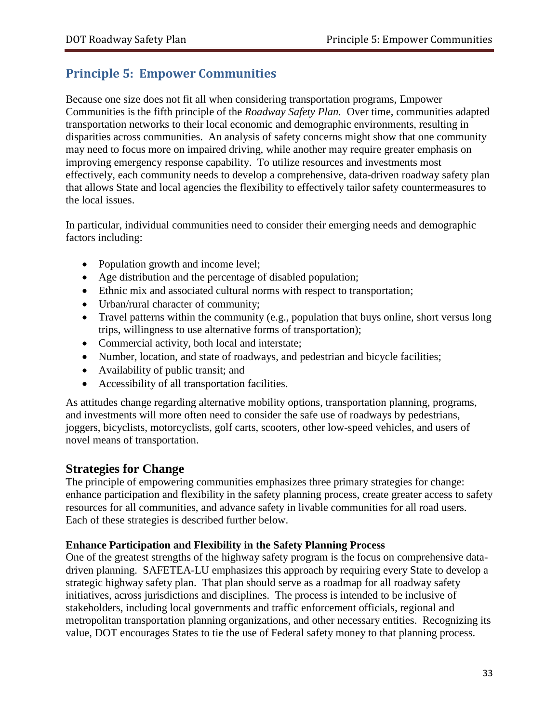# <span id="page-34-0"></span>**Principle 5: Empower Communities**

Because one size does not fit all when considering transportation programs, Empower Communities is the fifth principle of the *Roadway Safety Plan.* Over time, communities adapted transportation networks to their local economic and demographic environments, resulting in disparities across communities. An analysis of safety concerns might show that one community may need to focus more on impaired driving, while another may require greater emphasis on improving emergency response capability. To utilize resources and investments most effectively, each community needs to develop a comprehensive, data-driven roadway safety plan that allows State and local agencies the flexibility to effectively tailor safety countermeasures to the local issues.

In particular, individual communities need to consider their emerging needs and demographic factors including:

- Population growth and income level;
- Age distribution and the percentage of disabled population;
- Ethnic mix and associated cultural norms with respect to transportation;
- Urban/rural character of community;
- Travel patterns within the community (e.g., population that buys online, short versus long trips, willingness to use alternative forms of transportation);
- Commercial activity, both local and interstate;
- Number, location, and state of roadways, and pedestrian and bicycle facilities;
- Availability of public transit; and
- Accessibility of all transportation facilities.

As attitudes change regarding alternative mobility options, transportation planning, programs, and investments will more often need to consider the safe use of roadways by pedestrians, joggers, bicyclists, motorcyclists, golf carts, scooters, other low-speed vehicles, and users of novel means of transportation.

### **Strategies for Change**

The principle of empowering communities emphasizes three primary strategies for change: enhance participation and flexibility in the safety planning process, create greater access to safety resources for all communities, and advance safety in livable communities for all road users. Each of these strategies is described further below.

#### **Enhance Participation and Flexibility in the Safety Planning Process**

One of the greatest strengths of the highway safety program is the focus on comprehensive datadriven planning. SAFETEA-LU emphasizes this approach by requiring every State to develop a strategic highway safety plan. That plan should serve as a roadmap for all roadway safety initiatives, across jurisdictions and disciplines. The process is intended to be inclusive of stakeholders, including local governments and traffic enforcement officials, regional and metropolitan transportation planning organizations, and other necessary entities. Recognizing its value, DOT encourages States to tie the use of Federal safety money to that planning process.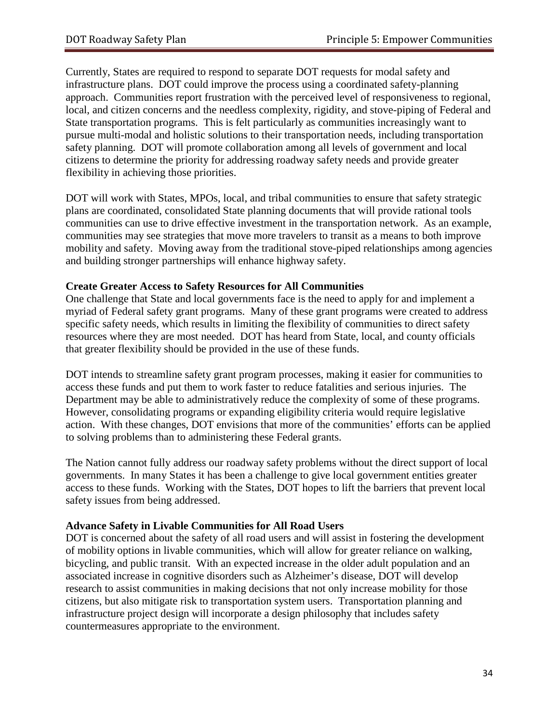Currently, States are required to respond to separate DOT requests for modal safety and infrastructure plans. DOT could improve the process using a coordinated safety-planning approach. Communities report frustration with the perceived level of responsiveness to regional, local, and citizen concerns and the needless complexity, rigidity, and stove-piping of Federal and State transportation programs. This is felt particularly as communities increasingly want to pursue multi-modal and holistic solutions to their transportation needs, including transportation safety planning. DOT will promote collaboration among all levels of government and local citizens to determine the priority for addressing roadway safety needs and provide greater flexibility in achieving those priorities.

DOT will work with States, MPOs, local, and tribal communities to ensure that safety strategic plans are coordinated, consolidated State planning documents that will provide rational tools communities can use to drive effective investment in the transportation network. As an example, communities may see strategies that move more travelers to transit as a means to both improve mobility and safety. Moving away from the traditional stove-piped relationships among agencies and building stronger partnerships will enhance highway safety.

#### **Create Greater Access to Safety Resources for All Communities**

One challenge that State and local governments face is the need to apply for and implement a myriad of Federal safety grant programs. Many of these grant programs were created to address specific safety needs, which results in limiting the flexibility of communities to direct safety resources where they are most needed. DOT has heard from State, local, and county officials that greater flexibility should be provided in the use of these funds.

DOT intends to streamline safety grant program processes, making it easier for communities to access these funds and put them to work faster to reduce fatalities and serious injuries. The Department may be able to administratively reduce the complexity of some of these programs. However, consolidating programs or expanding eligibility criteria would require legislative action. With these changes, DOT envisions that more of the communities' efforts can be applied to solving problems than to administering these Federal grants.

The Nation cannot fully address our roadway safety problems without the direct support of local governments. In many States it has been a challenge to give local government entities greater access to these funds. Working with the States, DOT hopes to lift the barriers that prevent local safety issues from being addressed.

#### **Advance Safety in Livable Communities for All Road Users**

DOT is concerned about the safety of all road users and will assist in fostering the development of mobility options in livable communities, which will allow for greater reliance on walking, bicycling, and public transit. With an expected increase in the older adult population and an associated increase in cognitive disorders such as Alzheimer's disease, DOT will develop research to assist communities in making decisions that not only increase mobility for those citizens, but also mitigate risk to transportation system users. Transportation planning and infrastructure project design will incorporate a design philosophy that includes safety countermeasures appropriate to the environment.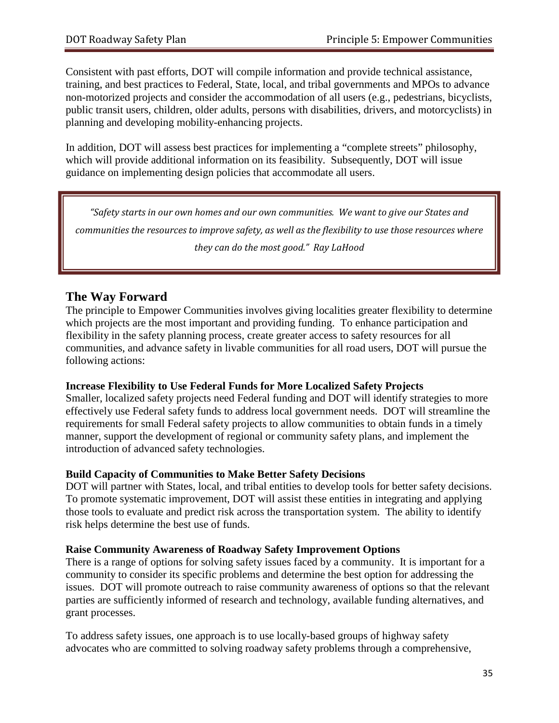Consistent with past efforts, DOT will compile information and provide technical assistance, training, and best practices to Federal, State, local, and tribal governments and MPOs to advance non-motorized projects and consider the accommodation of all users (e.g., pedestrians, bicyclists, public transit users, children, older adults, persons with disabilities, drivers, and motorcyclists) in planning and developing mobility-enhancing projects.

In addition, DOT will assess best practices for implementing a "complete streets" philosophy, which will provide additional information on its feasibility. Subsequently, DOT will issue guidance on implementing design policies that accommodate all users.

*"Safety starts in our own homes and our own communities. We want to give our States and communities the resources to improve safety, as well as the flexibility to use those resources where they can do the most good." Ray LaHood*

# **The Way Forward**

The principle to Empower Communities involves giving localities greater flexibility to determine which projects are the most important and providing funding. To enhance participation and flexibility in the safety planning process, create greater access to safety resources for all communities, and advance safety in livable communities for all road users, DOT will pursue the following actions:

#### **Increase Flexibility to Use Federal Funds for More Localized Safety Projects**

Smaller, localized safety projects need Federal funding and DOT will identify strategies to more effectively use Federal safety funds to address local government needs. DOT will streamline the requirements for small Federal safety projects to allow communities to obtain funds in a timely manner, support the development of regional or community safety plans, and implement the introduction of advanced safety technologies.

#### **Build Capacity of Communities to Make Better Safety Decisions**

DOT will partner with States, local, and tribal entities to develop tools for better safety decisions. To promote systematic improvement, DOT will assist these entities in integrating and applying those tools to evaluate and predict risk across the transportation system. The ability to identify risk helps determine the best use of funds.

#### **Raise Community Awareness of Roadway Safety Improvement Options**

There is a range of options for solving safety issues faced by a community. It is important for a community to consider its specific problems and determine the best option for addressing the issues. DOT will promote outreach to raise community awareness of options so that the relevant parties are sufficiently informed of research and technology, available funding alternatives, and grant processes.

To address safety issues, one approach is to use locally-based groups of highway safety advocates who are committed to solving roadway safety problems through a comprehensive,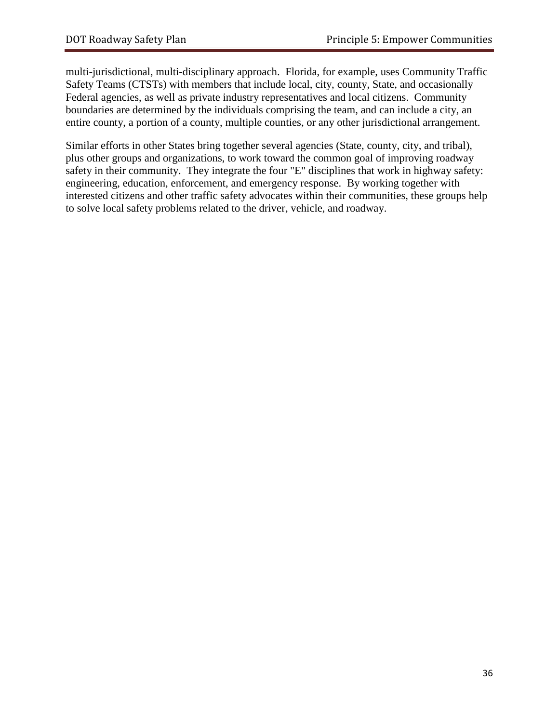multi-jurisdictional, multi-disciplinary approach. Florida, for example, uses Community Traffic Safety Teams (CTSTs) with members that include local, city, county, State, and occasionally Federal agencies, as well as private industry representatives and local citizens. Community boundaries are determined by the individuals comprising the team, and can include a city, an entire county, a portion of a county, multiple counties, or any other jurisdictional arrangement.

Similar efforts in other States bring together several agencies (State, county, city, and tribal), plus other groups and organizations, to work toward the common goal of improving roadway safety in their community. They integrate the four "E" disciplines that work in highway safety: engineering, education, enforcement, and emergency response. By working together with interested citizens and other traffic safety advocates within their communities, these groups help to solve local safety problems related to the driver, vehicle, and roadway.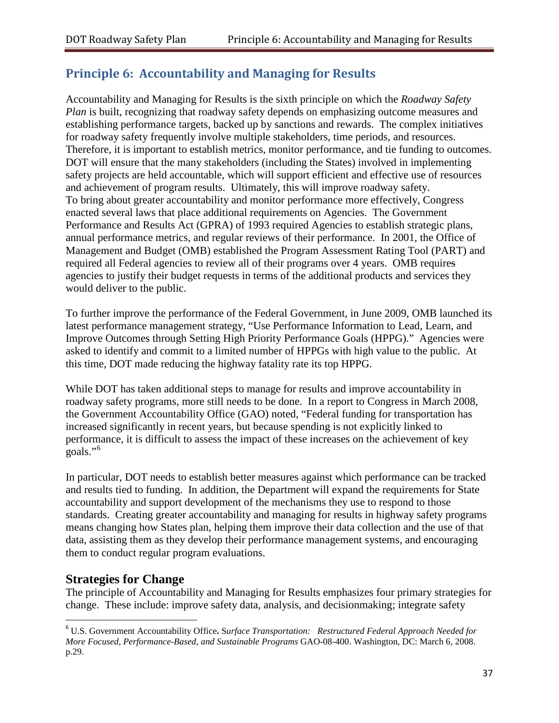# <span id="page-38-0"></span>**Principle 6: Accountability and Managing for Results**

Accountability and Managing for Results is the sixth principle on which the *Roadway Safety Plan* is built, recognizing that roadway safety depends on emphasizing outcome measures and establishing performance targets, backed up by sanctions and rewards. The complex initiatives for roadway safety frequently involve multiple stakeholders, time periods, and resources. Therefore, it is important to establish metrics, monitor performance, and tie funding to outcomes. DOT will ensure that the many stakeholders (including the States) involved in implementing safety projects are held accountable, which will support efficient and effective use of resources and achievement of program results. Ultimately, this will improve roadway safety. To bring about greater accountability and monitor performance more effectively, Congress enacted several laws that place additional requirements on Agencies. The Government Performance and Results Act (GPRA) of 1993 required Agencies to establish strategic plans, annual performance metrics, and regular reviews of their performance. In 2001, the Office of Management and Budget (OMB) established the Program Assessment Rating Tool (PART) and required all Federal agencies to review all of their programs over 4 years. OMB requires agencies to justify their budget requests in terms of the additional products and services they would deliver to the public.

To further improve the performance of the Federal Government, in June 2009, OMB launched its latest performance management strategy, "Use Performance Information to Lead, Learn, and Improve Outcomes through Setting High Priority Performance Goals (HPPG)." Agencies were asked to identify and commit to a limited number of HPPGs with high value to the public. At this time, DOT made reducing the highway fatality rate its top HPPG.

While DOT has taken additional steps to manage for results and improve accountability in roadway safety programs, more still needs to be done. In a report to Congress in March 2008, the Government Accountability Office (GAO) noted, "Federal funding for transportation has increased significantly in recent years, but because spending is not explicitly linked to performance, it is difficult to assess the impact of these increases on the achievement of key goals."<sup>[6](#page-38-1)</sup>

In particular, DOT needs to establish better measures against which performance can be tracked and results tied to funding. In addition, the Department will expand the requirements for State accountability and support development of the mechanisms they use to respond to those standards. Creating greater accountability and managing for results in highway safety programs means changing how States plan, helping them improve their data collection and the use of that data, assisting them as they develop their performance management systems, and encouraging them to conduct regular program evaluations.

# **Strategies for Change**

The principle of Accountability and Managing for Results emphasizes four primary strategies for change. These include: improve safety data, analysis, and decisionmaking; integrate safety

<span id="page-38-1"></span> <sup>6</sup> U.S. Government Accountability Office**.** <sup>S</sup>*urface Transportation: Restructured Federal Approach Needed for More Focused, Performance-Based, and Sustainable Programs* [GAO-08-400.](http://www.gao.gov/new.items/d08400.pdf) Washington, DC: March 6, 2008. p.29.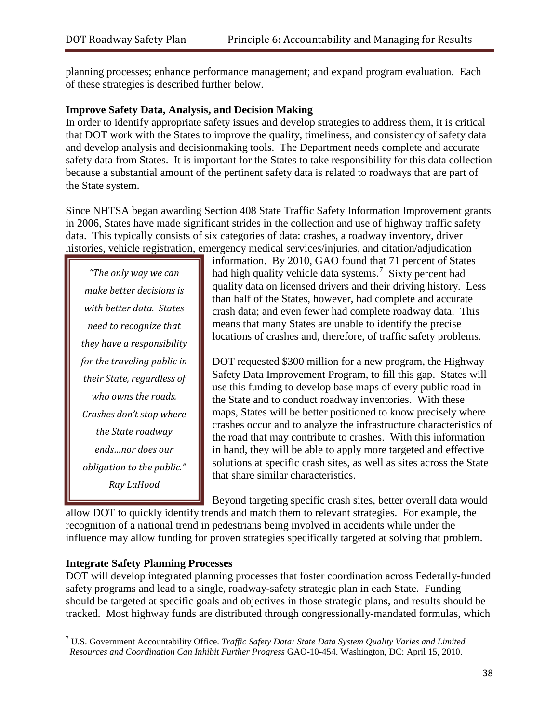planning processes; enhance performance management; and expand program evaluation. Each of these strategies is described further below.

#### **Improve Safety Data, Analysis, and Decision Making**

In order to identify appropriate safety issues and develop strategies to address them, it is critical that DOT work with the States to improve the quality, timeliness, and consistency of safety data and develop analysis and decisionmaking tools. The Department needs complete and accurate safety data from States. It is important for the States to take responsibility for this data collection because a substantial amount of the pertinent safety data is related to roadways that are part of the State system.

Since NHTSA began awarding Section 408 State Traffic Safety Information Improvement grants in 2006, States have made significant strides in the collection and use of highway traffic safety data. This typically consists of six categories of data: crashes, a roadway inventory, driver histories, vehicle registration, emergency medical services/injuries, and citation/adjudication

*"The only way we can make better decisions is with better data. States need to recognize that they have a responsibility for the traveling public in their State, regardless of who owns the roads. Crashes don't stop where the State roadway ends…nor does our obligation to the public." Ray LaHood*

information. By 2010, GAO found that 71 percent of States had high quality vehicle data systems.<sup>[7](#page-39-0)</sup> Sixty percent had quality data on licensed drivers and their driving history. Less than half of the States, however, had complete and accurate crash data; and even fewer had complete roadway data. This means that many States are unable to identify the precise locations of crashes and, therefore, of traffic safety problems.

DOT requested \$300 million for a new program, the Highway Safety Data Improvement Program, to fill this gap. States will use this funding to develop base maps of every public road in the State and to conduct roadway inventories. With these maps, States will be better positioned to know precisely where crashes occur and to analyze the infrastructure characteristics of the road that may contribute to crashes. With this information in hand, they will be able to apply more targeted and effective solutions at specific crash sites, as well as sites across the State that share similar characteristics.

Beyond targeting specific crash sites, better overall data would

allow DOT to quickly identify trends and match them to relevant strategies. For example, the recognition of a national trend in pedestrians being involved in accidents while under the influence may allow funding for proven strategies specifically targeted at solving that problem.

#### **Integrate Safety Planning Processes**

DOT will develop integrated planning processes that foster coordination across Federally-funded safety programs and lead to a single, roadway-safety strategic plan in each State. Funding should be targeted at specific goals and objectives in those strategic plans, and results should be tracked. Most highway funds are distributed through congressionally-mandated formulas, which

<span id="page-39-0"></span><sup>7</sup> U.S. Government Accountability Office. *Traffic Safety Data: State Data System Quality Varies and Limited Resources and Coordination Can Inhibit Further Progress* GAO-10-454. Washington, DC: April 15, 2010.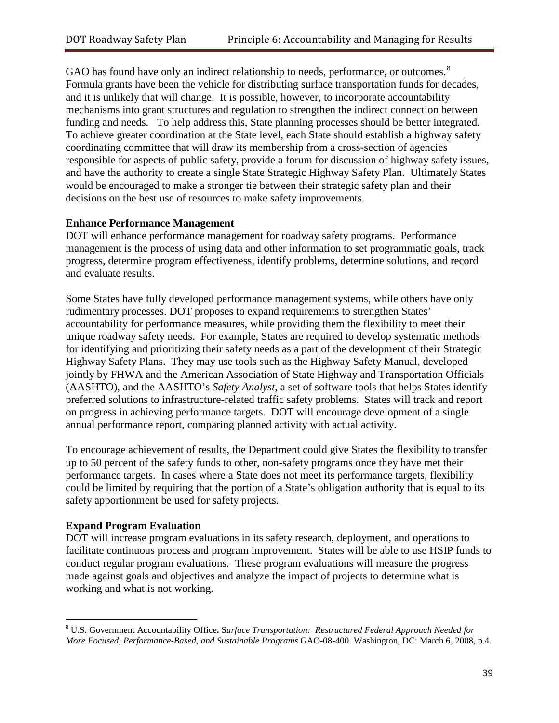GAO has found have only an indirect relationship to needs, performance, or outcomes.<sup>[8](#page-40-0)</sup> Formula grants have been the vehicle for distributing surface transportation funds for decades, and it is unlikely that will change. It is possible, however, to incorporate accountability mechanisms into grant structures and regulation to strengthen the indirect connection between funding and needs. To help address this, State planning processes should be better integrated. To achieve greater coordination at the State level, each State should establish a highway safety coordinating committee that will draw its membership from a cross-section of agencies responsible for aspects of public safety, provide a forum for discussion of highway safety issues, and have the authority to create a single State Strategic Highway Safety Plan. Ultimately States would be encouraged to make a stronger tie between their strategic safety plan and their decisions on the best use of resources to make safety improvements.

#### **Enhance Performance Management**

DOT will enhance performance management for roadway safety programs. Performance management is the process of using data and other information to set programmatic goals, track progress, determine program effectiveness, identify problems, determine solutions, and record and evaluate results.

Some States have fully developed performance management systems, while others have only rudimentary processes. DOT proposes to expand requirements to strengthen States' accountability for performance measures, while providing them the flexibility to meet their unique roadway safety needs. For example, States are required to develop systematic methods for identifying and prioritizing their safety needs as a part of the development of their Strategic Highway Safety Plans. They may use tools such as the Highway Safety Manual, developed jointly by FHWA and the American Association of State Highway and Transportation Officials (AASHTO), and the AASHTO's *Safety Analyst*, a set of software tools that helps States identify preferred solutions to infrastructure-related traffic safety problems. States will track and report on progress in achieving performance targets. DOT will encourage development of a single annual performance report, comparing planned activity with actual activity.

To encourage achievement of results, the Department could give States the flexibility to transfer up to 50 percent of the safety funds to other, non-safety programs once they have met their performance targets. In cases where a State does not meet its performance targets, flexibility could be limited by requiring that the portion of a State's obligation authority that is equal to its safety apportionment be used for safety projects.

#### **Expand Program Evaluation**

DOT will increase program evaluations in its safety research, deployment, and operations to facilitate continuous process and program improvement. States will be able to use HSIP funds to conduct regular program evaluations. These program evaluations will measure the progress made against goals and objectives and analyze the impact of projects to determine what is working and what is not working.

<span id="page-40-0"></span> <sup>8</sup> U.S. Government Accountability Office**.** <sup>S</sup>*urface Transportation: Restructured Federal Approach Needed for More Focused, Performance-Based, and Sustainable Programs* [GAO-08-400.](http://www.gao.gov/new.items/d08400.pdf) Washington, DC: March 6, 2008, p.4.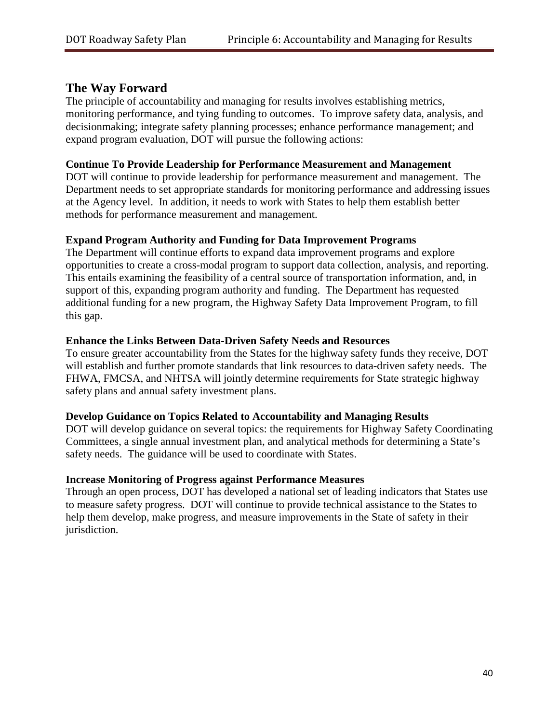### **The Way Forward**

The principle of accountability and managing for results involves establishing metrics, monitoring performance, and tying funding to outcomes. To improve safety data, analysis, and decisionmaking; integrate safety planning processes; enhance performance management; and expand program evaluation, DOT will pursue the following actions:

#### **Continue To Provide Leadership for Performance Measurement and Management**

DOT will continue to provide leadership for performance measurement and management. The Department needs to set appropriate standards for monitoring performance and addressing issues at the Agency level. In addition, it needs to work with States to help them establish better methods for performance measurement and management.

#### **Expand Program Authority and Funding for Data Improvement Programs**

The Department will continue efforts to expand data improvement programs and explore opportunities to create a cross-modal program to support data collection, analysis, and reporting. This entails examining the feasibility of a central source of transportation information, and, in support of this, expanding program authority and funding. The Department has requested additional funding for a new program, the Highway Safety Data Improvement Program, to fill this gap.

#### **Enhance the Links Between Data-Driven Safety Needs and Resources**

To ensure greater accountability from the States for the highway safety funds they receive, DOT will establish and further promote standards that link resources to data-driven safety needs. The FHWA, FMCSA, and NHTSA will jointly determine requirements for State strategic highway safety plans and annual safety investment plans.

#### **Develop Guidance on Topics Related to Accountability and Managing Results**

DOT will develop guidance on several topics: the requirements for Highway Safety Coordinating Committees, a single annual investment plan, and analytical methods for determining a State's safety needs. The guidance will be used to coordinate with States.

#### **Increase Monitoring of Progress against Performance Measures**

Through an open process, DOT has developed a national set of leading indicators that States use to measure safety progress. DOT will continue to provide technical assistance to the States to help them develop, make progress, and measure improvements in the State of safety in their jurisdiction.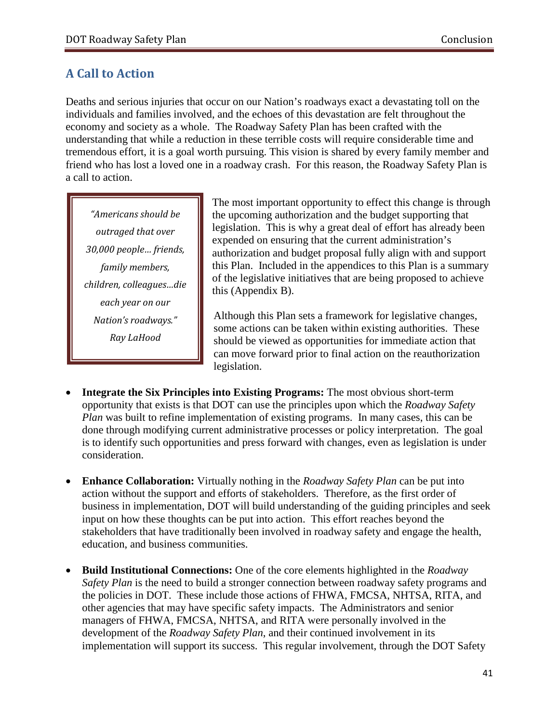# <span id="page-42-0"></span>**A Call to Action**

Deaths and serious injuries that occur on our Nation's roadways exact a devastating toll on the individuals and families involved, and the echoes of this devastation are felt throughout the economy and society as a whole. The Roadway Safety Plan has been crafted with the understanding that while a reduction in these terrible costs will require considerable time and tremendous effort, it is a goal worth pursuing. This vision is shared by every family member and friend who has lost a loved one in a roadway crash. For this reason, the Roadway Safety Plan is a call to action.

*"Americans should be outraged that over 30,000 people… friends, family members, children, colleagues…die each year on our Nation's roadways." Ray LaHood*

The most important opportunity to effect this change is through the upcoming authorization and the budget supporting that legislation. This is why a great deal of effort has already been expended on ensuring that the current administration's authorization and budget proposal fully align with and support this Plan. Included in the appendices to this Plan is a summary of the legislative initiatives that are being proposed to achieve this (Appendix B).

Although this Plan sets a framework for legislative changes, some actions can be taken within existing authorities. These should be viewed as opportunities for immediate action that can move forward prior to final action on the reauthorization legislation.

- **Integrate the Six Principles into Existing Programs:** The most obvious short-term opportunity that exists is that DOT can use the principles upon which the *Roadway Safety Plan* was built to refine implementation of existing programs. In many cases, this can be done through modifying current administrative processes or policy interpretation. The goal is to identify such opportunities and press forward with changes, even as legislation is under consideration.
- **Enhance Collaboration:** Virtually nothing in the *Roadway Safety Plan* can be put into action without the support and efforts of stakeholders. Therefore, as the first order of business in implementation, DOT will build understanding of the guiding principles and seek input on how these thoughts can be put into action. This effort reaches beyond the stakeholders that have traditionally been involved in roadway safety and engage the health, education, and business communities.
- **Build Institutional Connections:** One of the core elements highlighted in the *Roadway Safety Plan* is the need to build a stronger connection between roadway safety programs and the policies in DOT. These include those actions of FHWA, FMCSA, NHTSA, RITA, and other agencies that may have specific safety impacts. The Administrators and senior managers of FHWA, FMCSA, NHTSA, and RITA were personally involved in the development of the *Roadway Safety Plan*, and their continued involvement in its implementation will support its success. This regular involvement, through the DOT Safety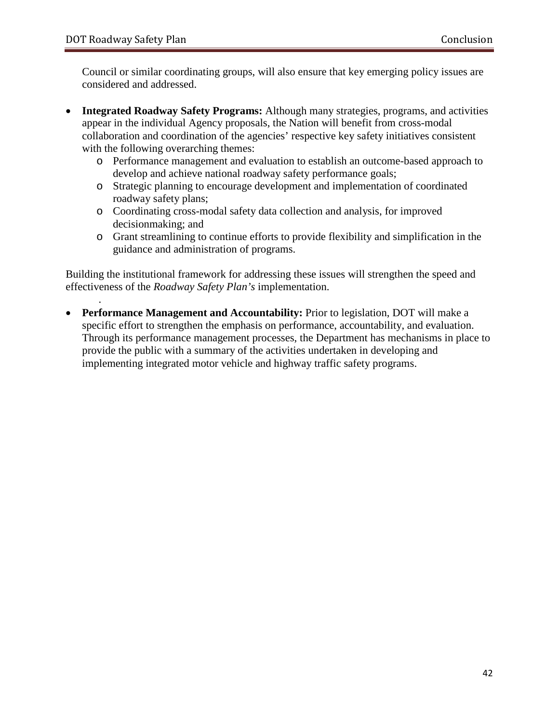.

Council or similar coordinating groups, will also ensure that key emerging policy issues are considered and addressed.

- **Integrated Roadway Safety Programs:** Although many strategies, programs, and activities appear in the individual Agency proposals, the Nation will benefit from cross-modal collaboration and coordination of the agencies' respective key safety initiatives consistent with the following overarching themes:
	- o Performance management and evaluation to establish an outcome-based approach to develop and achieve national roadway safety performance goals;
	- o Strategic planning to encourage development and implementation of coordinated roadway safety plans;
	- o Coordinating cross-modal safety data collection and analysis, for improved decisionmaking; and
	- o Grant streamlining to continue efforts to provide flexibility and simplification in the guidance and administration of programs.

Building the institutional framework for addressing these issues will strengthen the speed and effectiveness of the *Roadway Safety Plan's* implementation.

• **Performance Management and Accountability:** Prior to legislation, DOT will make a specific effort to strengthen the emphasis on performance, accountability, and evaluation. Through its performance management processes, the Department has mechanisms in place to provide the public with a summary of the activities undertaken in developing and implementing integrated motor vehicle and highway traffic safety programs.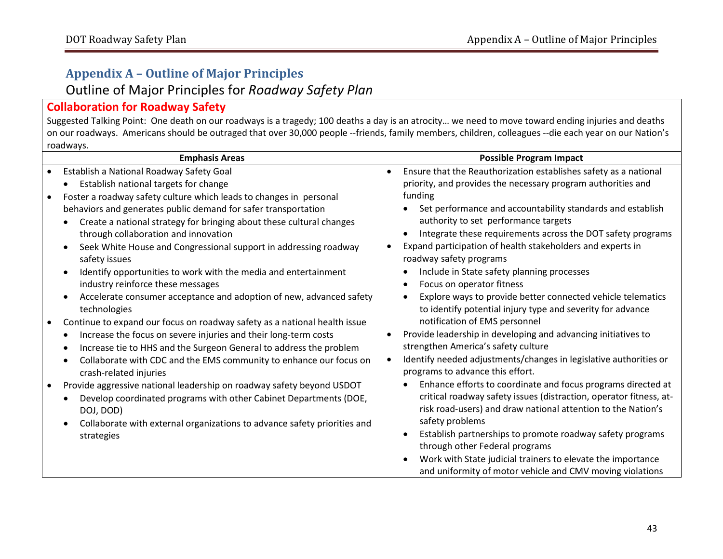# **Appendix A – Outline of Major Principles**  Outline of Major Principles for *Roadway Safety Plan*

# **Collaboration for Roadway Safety**

Suggested Talking Point: One death on our roadways is a tragedy; 100 deaths a day is an atrocity… we need to move toward ending injuries and deaths on our roadways. Americans should be outraged that over 30,000 people --friends, family members, children, colleagues --die each year on our Nation's roadways.

<span id="page-44-0"></span>

| <b>Emphasis Areas</b>                                                                                                                                                                                                                                                                                                                                                                                                                                                                                                                                                                                                                                                                                                                                                                                                                                                                                                                                                                                                                                                                                                                                                                                                                                        | <b>Possible Program Impact</b>                                                                                                                                                                                                                                                                                                                                                                                                                                                                                                                                                                                                                                                                                                                                                                                                                                                                                                                                                                                                                                                                                                                                                                                                                                                                                                                                           |
|--------------------------------------------------------------------------------------------------------------------------------------------------------------------------------------------------------------------------------------------------------------------------------------------------------------------------------------------------------------------------------------------------------------------------------------------------------------------------------------------------------------------------------------------------------------------------------------------------------------------------------------------------------------------------------------------------------------------------------------------------------------------------------------------------------------------------------------------------------------------------------------------------------------------------------------------------------------------------------------------------------------------------------------------------------------------------------------------------------------------------------------------------------------------------------------------------------------------------------------------------------------|--------------------------------------------------------------------------------------------------------------------------------------------------------------------------------------------------------------------------------------------------------------------------------------------------------------------------------------------------------------------------------------------------------------------------------------------------------------------------------------------------------------------------------------------------------------------------------------------------------------------------------------------------------------------------------------------------------------------------------------------------------------------------------------------------------------------------------------------------------------------------------------------------------------------------------------------------------------------------------------------------------------------------------------------------------------------------------------------------------------------------------------------------------------------------------------------------------------------------------------------------------------------------------------------------------------------------------------------------------------------------|
| Establish a National Roadway Safety Goal<br>Establish national targets for change<br>Foster a roadway safety culture which leads to changes in personal<br>$\bullet$<br>behaviors and generates public demand for safer transportation<br>Create a national strategy for bringing about these cultural changes<br>through collaboration and innovation<br>Seek White House and Congressional support in addressing roadway<br>safety issues<br>Identify opportunities to work with the media and entertainment<br>$\bullet$<br>industry reinforce these messages<br>Accelerate consumer acceptance and adoption of new, advanced safety<br>$\bullet$<br>technologies<br>Continue to expand our focus on roadway safety as a national health issue<br>Increase the focus on severe injuries and their long-term costs<br>Increase tie to HHS and the Surgeon General to address the problem<br>Collaborate with CDC and the EMS community to enhance our focus on<br>$\bullet$<br>crash-related injuries<br>Provide aggressive national leadership on roadway safety beyond USDOT<br>Develop coordinated programs with other Cabinet Departments (DOE,<br>DOJ, DOD)<br>Collaborate with external organizations to advance safety priorities and<br>strategies | Ensure that the Reauthorization establishes safety as a national<br>priority, and provides the necessary program authorities and<br>funding<br>Set performance and accountability standards and establish<br>authority to set performance targets<br>Integrate these requirements across the DOT safety programs<br>$\bullet$<br>Expand participation of health stakeholders and experts in<br>roadway safety programs<br>Include in State safety planning processes<br>Focus on operator fitness<br>$\bullet$<br>Explore ways to provide better connected vehicle telematics<br>$\bullet$<br>to identify potential injury type and severity for advance<br>notification of EMS personnel<br>Provide leadership in developing and advancing initiatives to<br>strengthen America's safety culture<br>Identify needed adjustments/changes in legislative authorities or<br>programs to advance this effort.<br>Enhance efforts to coordinate and focus programs directed at<br>critical roadway safety issues (distraction, operator fitness, at-<br>risk road-users) and draw national attention to the Nation's<br>safety problems<br>Establish partnerships to promote roadway safety programs<br>٠<br>through other Federal programs<br>Work with State judicial trainers to elevate the importance<br>٠<br>and uniformity of motor vehicle and CMV moving violations |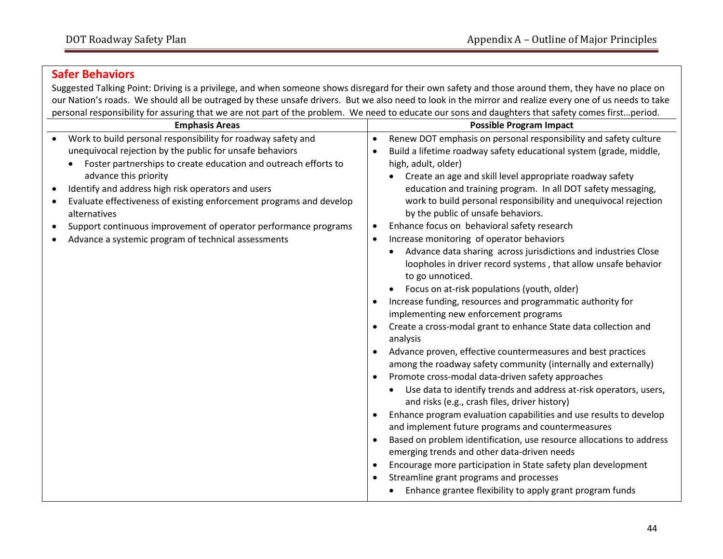# **Safer Behaviors**

Suggested Talking Point: Driving is a privilege, and when someone shows disregard for their own safety and those around them, they have no place on our Nation's roads. We should all be outraged by these unsafe drivers. But we also need to look in the mirror and realize every one of us needs to take personal responsibility for assuring that we are not part of the problem. We need to educate our sons and daughters that safety comes first…period.

| croponal responsibility for assumig that we are not part of the problem. We need to eautate our sons and adaptiters that sarety comes instillpenou.<br><b>Emphasis Areas</b>                                                                                                                                                                                                                                                                                                                | <b>Possible Program Impact</b>                                                                                                                                                                                                                                                                                                                                                                                                                                                                                                                                                                                                                                                                                                                                                                                                                                                                                                                                                                                                                                                                                                                                                                                                                                                                                                                                                                                                                                                                                                                                                                                                                                    |
|---------------------------------------------------------------------------------------------------------------------------------------------------------------------------------------------------------------------------------------------------------------------------------------------------------------------------------------------------------------------------------------------------------------------------------------------------------------------------------------------|-------------------------------------------------------------------------------------------------------------------------------------------------------------------------------------------------------------------------------------------------------------------------------------------------------------------------------------------------------------------------------------------------------------------------------------------------------------------------------------------------------------------------------------------------------------------------------------------------------------------------------------------------------------------------------------------------------------------------------------------------------------------------------------------------------------------------------------------------------------------------------------------------------------------------------------------------------------------------------------------------------------------------------------------------------------------------------------------------------------------------------------------------------------------------------------------------------------------------------------------------------------------------------------------------------------------------------------------------------------------------------------------------------------------------------------------------------------------------------------------------------------------------------------------------------------------------------------------------------------------------------------------------------------------|
| Work to build personal responsibility for roadway safety and<br>unequivocal rejection by the public for unsafe behaviors<br>Foster partnerships to create education and outreach efforts to<br>advance this priority<br>Identify and address high risk operators and users<br>Evaluate effectiveness of existing enforcement programs and develop<br>alternatives<br>Support continuous improvement of operator performance programs<br>Advance a systemic program of technical assessments | Renew DOT emphasis on personal responsibility and safety culture<br>$\bullet$<br>Build a lifetime roadway safety educational system (grade, middle,<br>high, adult, older)<br>Create an age and skill level appropriate roadway safety<br>education and training program. In all DOT safety messaging,<br>work to build personal responsibility and unequivocal rejection<br>by the public of unsafe behaviors.<br>Enhance focus on behavioral safety research<br>$\bullet$<br>Increase monitoring of operator behaviors<br>٠<br>Advance data sharing across jurisdictions and industries Close<br>loopholes in driver record systems, that allow unsafe behavior<br>to go unnoticed.<br>Focus on at-risk populations (youth, older)<br>Increase funding, resources and programmatic authority for<br>implementing new enforcement programs<br>Create a cross-modal grant to enhance State data collection and<br>analysis<br>Advance proven, effective countermeasures and best practices<br>among the roadway safety community (internally and externally)<br>Promote cross-modal data-driven safety approaches<br>Use data to identify trends and address at-risk operators, users,<br>and risks (e.g., crash files, driver history)<br>Enhance program evaluation capabilities and use results to develop<br>and implement future programs and countermeasures<br>Based on problem identification, use resource allocations to address<br>emerging trends and other data-driven needs<br>Encourage more participation in State safety plan development<br>Streamline grant programs and processes<br>Enhance grantee flexibility to apply grant program funds |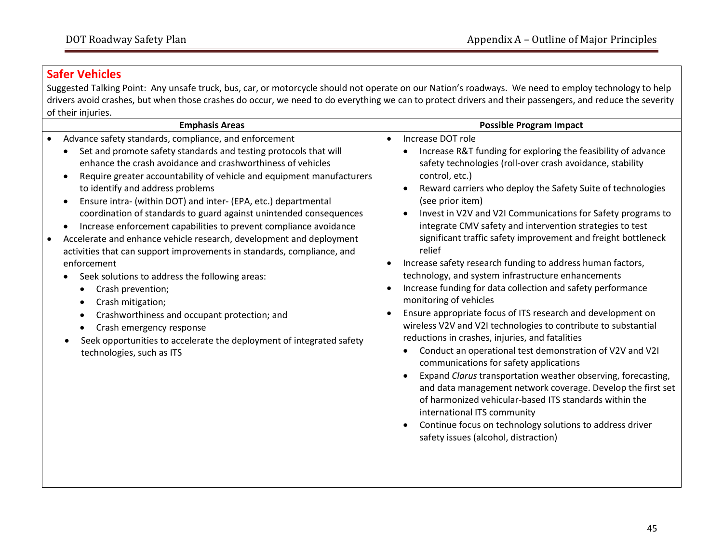# **Safer Vehicles**

Suggested Talking Point: Any unsafe truck, bus, car, or motorcycle should not operate on our Nation's roadways. We need to employ technology to help drivers avoid crashes, but when those crashes do occur, we need to do everything we can to protect drivers and their passengers, and reduce the severity of their injuries.

| <b>Emphasis Areas</b><br>Advance safety standards, compliance, and enforcement<br>$\bullet$<br>Set and promote safety standards and testing protocols that will<br>enhance the crash avoidance and crashworthiness of vehicles<br>Require greater accountability of vehicle and equipment manufacturers<br>$\bullet$<br>to identify and address problems<br>Ensure intra- (within DOT) and inter- (EPA, etc.) departmental<br>$\bullet$<br>coordination of standards to guard against unintended consequences                                                                | <b>Possible Program Impact</b><br>Increase DOT role<br>$\bullet$<br>Increase R&T funding for exploring the feasibility of advance<br>٠<br>safety technologies (roll-over crash avoidance, stability<br>control, etc.)<br>Reward carriers who deploy the Safety Suite of technologies<br>$\bullet$<br>(see prior item)<br>Invest in V2V and V2I Communications for Safety programs to<br>$\bullet$                                                                                                                                                                                                                                                                                                                                                                                                                                                                                                                                                                                                                          |
|------------------------------------------------------------------------------------------------------------------------------------------------------------------------------------------------------------------------------------------------------------------------------------------------------------------------------------------------------------------------------------------------------------------------------------------------------------------------------------------------------------------------------------------------------------------------------|----------------------------------------------------------------------------------------------------------------------------------------------------------------------------------------------------------------------------------------------------------------------------------------------------------------------------------------------------------------------------------------------------------------------------------------------------------------------------------------------------------------------------------------------------------------------------------------------------------------------------------------------------------------------------------------------------------------------------------------------------------------------------------------------------------------------------------------------------------------------------------------------------------------------------------------------------------------------------------------------------------------------------|
| Increase enforcement capabilities to prevent compliance avoidance<br>$\bullet$<br>Accelerate and enhance vehicle research, development and deployment<br>$\bullet$<br>activities that can support improvements in standards, compliance, and<br>enforcement<br>Seek solutions to address the following areas:<br>Crash prevention;<br>٠<br>Crash mitigation;<br>٠<br>Crashworthiness and occupant protection; and<br>$\bullet$<br>Crash emergency response<br>$\bullet$<br>Seek opportunities to accelerate the deployment of integrated safety<br>technologies, such as ITS | integrate CMV safety and intervention strategies to test<br>significant traffic safety improvement and freight bottleneck<br>relief<br>Increase safety research funding to address human factors,<br>$\bullet$<br>technology, and system infrastructure enhancements<br>Increase funding for data collection and safety performance<br>$\bullet$<br>monitoring of vehicles<br>Ensure appropriate focus of ITS research and development on<br>$\bullet$<br>wireless V2V and V2I technologies to contribute to substantial<br>reductions in crashes, injuries, and fatalities<br>Conduct an operational test demonstration of V2V and V2I<br>communications for safety applications<br>Expand Clarus transportation weather observing, forecasting,<br>$\bullet$<br>and data management network coverage. Develop the first set<br>of harmonized vehicular-based ITS standards within the<br>international ITS community<br>Continue focus on technology solutions to address driver<br>safety issues (alcohol, distraction) |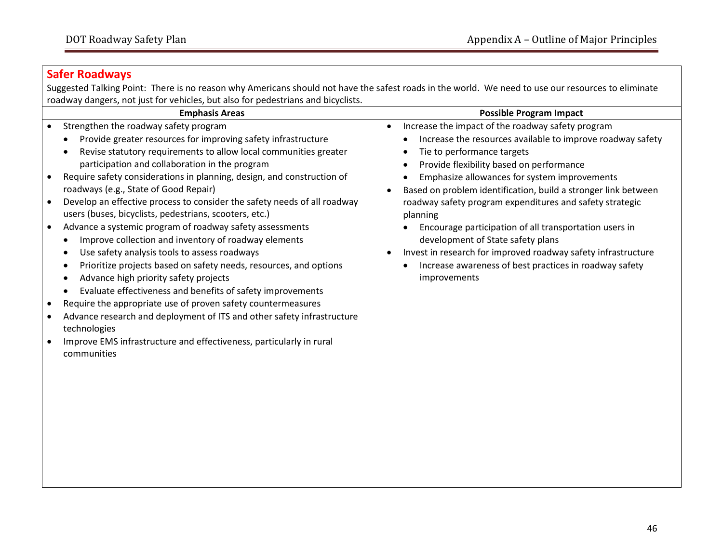# **Safer Roadways**

Suggested Talking Point: There is no reason why Americans should not have the safest roads in the world. We need to use our resources to eliminate roadway dangers, not just for vehicles, but also for pedestrians and bicyclists.

| <b>Emphasis Areas</b>                                                                                                                                                                                                                                                                                                                                                                                                                                                                                                                                                                                                                                                                                                                                                                                                                                                                                                                                                                                                                                                                                                                                               | <b>Possible Program Impact</b>                                                                                                                                                                                                                                                                                                                                                                                                                                                                                                                                                                                                                                                         |
|---------------------------------------------------------------------------------------------------------------------------------------------------------------------------------------------------------------------------------------------------------------------------------------------------------------------------------------------------------------------------------------------------------------------------------------------------------------------------------------------------------------------------------------------------------------------------------------------------------------------------------------------------------------------------------------------------------------------------------------------------------------------------------------------------------------------------------------------------------------------------------------------------------------------------------------------------------------------------------------------------------------------------------------------------------------------------------------------------------------------------------------------------------------------|----------------------------------------------------------------------------------------------------------------------------------------------------------------------------------------------------------------------------------------------------------------------------------------------------------------------------------------------------------------------------------------------------------------------------------------------------------------------------------------------------------------------------------------------------------------------------------------------------------------------------------------------------------------------------------------|
| Strengthen the roadway safety program<br>$\bullet$<br>Provide greater resources for improving safety infrastructure<br>Revise statutory requirements to allow local communities greater<br>participation and collaboration in the program<br>Require safety considerations in planning, design, and construction of<br>roadways (e.g., State of Good Repair)<br>Develop an effective process to consider the safety needs of all roadway<br>$\bullet$<br>users (buses, bicyclists, pedestrians, scooters, etc.)<br>Advance a systemic program of roadway safety assessments<br>$\bullet$<br>Improve collection and inventory of roadway elements<br>Use safety analysis tools to assess roadways<br>Prioritize projects based on safety needs, resources, and options<br>Advance high priority safety projects<br>Evaluate effectiveness and benefits of safety improvements<br>Require the appropriate use of proven safety countermeasures<br>$\bullet$<br>Advance research and deployment of ITS and other safety infrastructure<br>$\bullet$<br>technologies<br>Improve EMS infrastructure and effectiveness, particularly in rural<br>$\bullet$<br>communities | Increase the impact of the roadway safety program<br>$\bullet$<br>Increase the resources available to improve roadway safety<br>Tie to performance targets<br>Provide flexibility based on performance<br>٠<br>Emphasize allowances for system improvements<br>$\bullet$<br>Based on problem identification, build a stronger link between<br>$\bullet$<br>roadway safety program expenditures and safety strategic<br>planning<br>Encourage participation of all transportation users in<br>development of State safety plans<br>Invest in research for improved roadway safety infrastructure<br>$\bullet$<br>Increase awareness of best practices in roadway safety<br>improvements |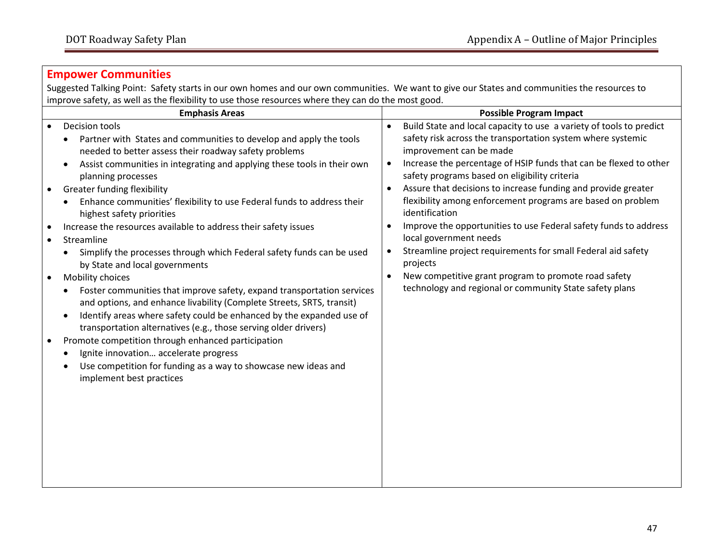#### **Empower Communities**

Suggested Talking Point: Safety starts in our own homes and our own communities. We want to give our States and communities the resources to improve safety, as well as the flexibility to use those resources where they can do the most good.

| <b>Emphasis Areas</b>                                                                                                                                                                                                                                                                                                                                                                                                                                                                                                                                                                                                                                                                                                                                                                                                                                                                                                                                                                                                                                                                                                                                      | <b>Possible Program Impact</b>                                                                                                                                                                                                                                                                                                                                                                                                                                                                                                                                                                                                                                                                                                                                                                      |
|------------------------------------------------------------------------------------------------------------------------------------------------------------------------------------------------------------------------------------------------------------------------------------------------------------------------------------------------------------------------------------------------------------------------------------------------------------------------------------------------------------------------------------------------------------------------------------------------------------------------------------------------------------------------------------------------------------------------------------------------------------------------------------------------------------------------------------------------------------------------------------------------------------------------------------------------------------------------------------------------------------------------------------------------------------------------------------------------------------------------------------------------------------|-----------------------------------------------------------------------------------------------------------------------------------------------------------------------------------------------------------------------------------------------------------------------------------------------------------------------------------------------------------------------------------------------------------------------------------------------------------------------------------------------------------------------------------------------------------------------------------------------------------------------------------------------------------------------------------------------------------------------------------------------------------------------------------------------------|
| Decision tools<br>Partner with States and communities to develop and apply the tools<br>needed to better assess their roadway safety problems<br>Assist communities in integrating and applying these tools in their own<br>$\bullet$<br>planning processes<br><b>Greater funding flexibility</b><br>Enhance communities' flexibility to use Federal funds to address their<br>highest safety priorities<br>Increase the resources available to address their safety issues<br>Streamline<br>$\bullet$<br>Simplify the processes through which Federal safety funds can be used<br>by State and local governments<br>Mobility choices<br>$\bullet$<br>Foster communities that improve safety, expand transportation services<br>and options, and enhance livability (Complete Streets, SRTS, transit)<br>Identify areas where safety could be enhanced by the expanded use of<br>$\bullet$<br>transportation alternatives (e.g., those serving older drivers)<br>Promote competition through enhanced participation<br>Ignite innovation accelerate progress<br>Use competition for funding as a way to showcase new ideas and<br>implement best practices | Build State and local capacity to use a variety of tools to predict<br>$\bullet$<br>safety risk across the transportation system where systemic<br>improvement can be made<br>Increase the percentage of HSIP funds that can be flexed to other<br>$\bullet$<br>safety programs based on eligibility criteria<br>Assure that decisions to increase funding and provide greater<br>$\bullet$<br>flexibility among enforcement programs are based on problem<br>identification<br>Improve the opportunities to use Federal safety funds to address<br>$\bullet$<br>local government needs<br>Streamline project requirements for small Federal aid safety<br>projects<br>New competitive grant program to promote road safety<br>$\bullet$<br>technology and regional or community State safety plans |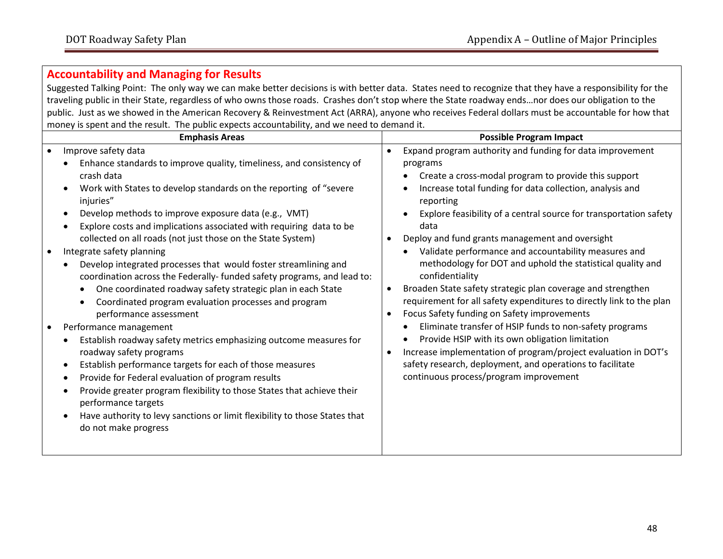### **Accountability and Managing for Results**

Suggested Talking Point: The only way we can make better decisions is with better data. States need to recognize that they have a responsibility for the traveling public in their State, regardless of who owns those roads. Crashes don't stop where the State roadway ends…nor does our obligation to the public. Just as we showed in the American Recovery & Reinvestment Act (ARRA), anyone who receives Federal dollars must be accountable for how that money is spent and the result. The public expects accountability, and we need to demand it.

| <b>Emphasis Areas</b>                                                                                                                                                                                                                                                                                                                                                                                                                                                                                                                                                                                                                                                                                                                                                                                                                                                                                                                                                                                                                                                                                                                                                                                                                         | <b>Possible Program Impact</b>                                                                                                                                                                                                                                                                                                                                                                                                                                                                                                                                                                                                                                                                                                                                                                                                                                                                                                                                                                                                |
|-----------------------------------------------------------------------------------------------------------------------------------------------------------------------------------------------------------------------------------------------------------------------------------------------------------------------------------------------------------------------------------------------------------------------------------------------------------------------------------------------------------------------------------------------------------------------------------------------------------------------------------------------------------------------------------------------------------------------------------------------------------------------------------------------------------------------------------------------------------------------------------------------------------------------------------------------------------------------------------------------------------------------------------------------------------------------------------------------------------------------------------------------------------------------------------------------------------------------------------------------|-------------------------------------------------------------------------------------------------------------------------------------------------------------------------------------------------------------------------------------------------------------------------------------------------------------------------------------------------------------------------------------------------------------------------------------------------------------------------------------------------------------------------------------------------------------------------------------------------------------------------------------------------------------------------------------------------------------------------------------------------------------------------------------------------------------------------------------------------------------------------------------------------------------------------------------------------------------------------------------------------------------------------------|
| Improve safety data<br>$\bullet$<br>Enhance standards to improve quality, timeliness, and consistency of<br>crash data<br>Work with States to develop standards on the reporting of "severe<br>injuries"<br>Develop methods to improve exposure data (e.g., VMT)<br>$\bullet$<br>Explore costs and implications associated with requiring data to be<br>collected on all roads (not just those on the State System)<br>Integrate safety planning<br>Develop integrated processes that would foster streamlining and<br>coordination across the Federally- funded safety programs, and lead to:<br>One coordinated roadway safety strategic plan in each State<br>Coordinated program evaluation processes and program<br>performance assessment<br>Performance management<br>Establish roadway safety metrics emphasizing outcome measures for<br>roadway safety programs<br>Establish performance targets for each of those measures<br>$\bullet$<br>Provide for Federal evaluation of program results<br>$\bullet$<br>Provide greater program flexibility to those States that achieve their<br>٠<br>performance targets<br>Have authority to levy sanctions or limit flexibility to those States that<br>$\bullet$<br>do not make progress | Expand program authority and funding for data improvement<br>$\bullet$<br>programs<br>Create a cross-modal program to provide this support<br>Increase total funding for data collection, analysis and<br>reporting<br>Explore feasibility of a central source for transportation safety<br>$\bullet$<br>data<br>Deploy and fund grants management and oversight<br>Validate performance and accountability measures and<br>$\bullet$<br>methodology for DOT and uphold the statistical quality and<br>confidentiality<br>Broaden State safety strategic plan coverage and strengthen<br>$\bullet$<br>requirement for all safety expenditures to directly link to the plan<br>Focus Safety funding on Safety improvements<br>Eliminate transfer of HSIP funds to non-safety programs<br>Provide HSIP with its own obligation limitation<br>Increase implementation of program/project evaluation in DOT's<br>$\bullet$<br>safety research, deployment, and operations to facilitate<br>continuous process/program improvement |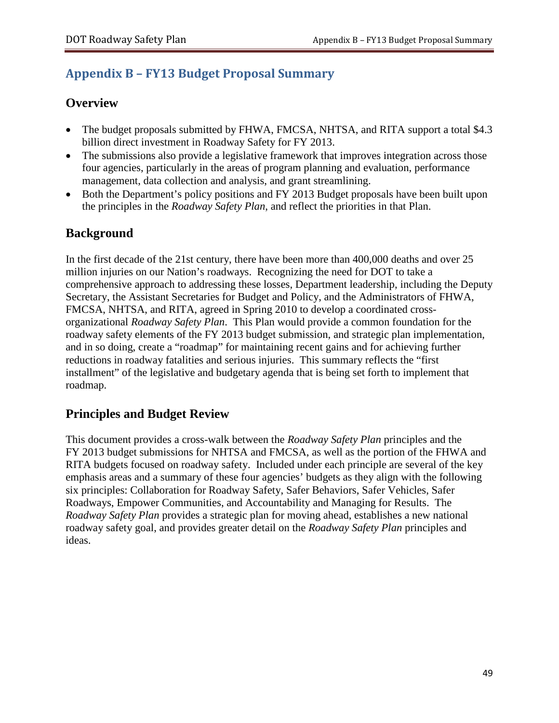# <span id="page-50-0"></span>**Appendix B – FY13 Budget Proposal Summary**

## **Overview**

- The budget proposals submitted by FHWA, FMCSA, NHTSA, and RITA support a total \$4.3 billion direct investment in Roadway Safety for FY 2013.
- The submissions also provide a legislative framework that improves integration across those four agencies, particularly in the areas of program planning and evaluation, performance management, data collection and analysis, and grant streamlining.
- Both the Department's policy positions and FY 2013 Budget proposals have been built upon the principles in the *Roadway Safety Plan*, and reflect the priorities in that Plan.

# **Background**

In the first decade of the 21st century, there have been more than 400,000 deaths and over 25 million injuries on our Nation's roadways. Recognizing the need for DOT to take a comprehensive approach to addressing these losses, Department leadership, including the Deputy Secretary, the Assistant Secretaries for Budget and Policy, and the Administrators of FHWA, FMCSA, NHTSA, and RITA, agreed in Spring 2010 to develop a coordinated crossorganizational *Roadway Safety Plan*. This Plan would provide a common foundation for the roadway safety elements of the FY 2013 budget submission, and strategic plan implementation, and in so doing, create a "roadmap" for maintaining recent gains and for achieving further reductions in roadway fatalities and serious injuries. This summary reflects the "first installment" of the legislative and budgetary agenda that is being set forth to implement that roadmap.

# **Principles and Budget Review**

This document provides a cross-walk between the *Roadway Safety Plan* principles and the FY 2013 budget submissions for NHTSA and FMCSA, as well as the portion of the FHWA and RITA budgets focused on roadway safety. Included under each principle are several of the key emphasis areas and a summary of these four agencies' budgets as they align with the following six principles: Collaboration for Roadway Safety, Safer Behaviors, Safer Vehicles, Safer Roadways, Empower Communities, and Accountability and Managing for Results.The *Roadway Safety Plan* provides a strategic plan for moving ahead, establishes a new national roadway safety goal, and provides greater detail on the *Roadway Safety Plan* principles and ideas.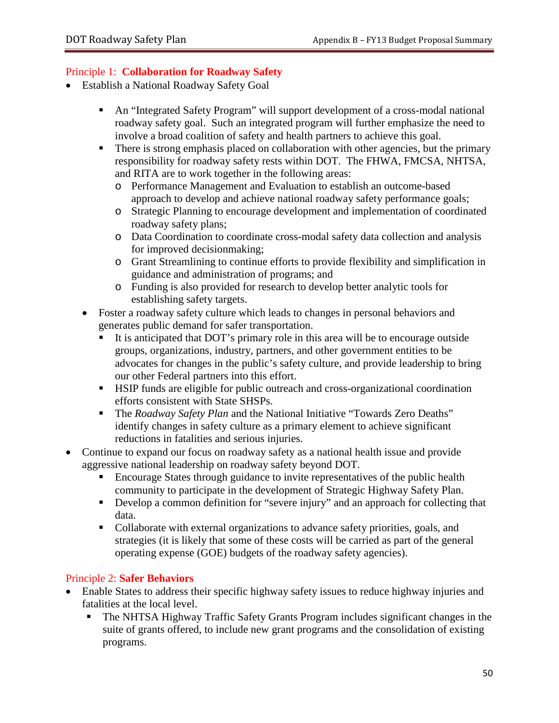#### Principle 1: **Collaboration for Roadway Safety**

- Establish a National Roadway Safety Goal
	- An "Integrated Safety Program" will support development of a cross-modal national roadway safety goal. Such an integrated program will further emphasize the need to involve a broad coalition of safety and health partners to achieve this goal.
	- There is strong emphasis placed on collaboration with other agencies, but the primary responsibility for roadway safety rests within DOT. The FHWA, FMCSA, NHTSA, and RITA are to work together in the following areas:
		- o Performance Management and Evaluation to establish an outcome-based approach to develop and achieve national roadway safety performance goals;
		- o Strategic Planning to encourage development and implementation of coordinated roadway safety plans;
		- o Data Coordination to coordinate cross-modal safety data collection and analysis for improved decisionmaking;
		- o Grant Streamlining to continue efforts to provide flexibility and simplification in guidance and administration of programs; and
		- o Funding is also provided for research to develop better analytic tools for establishing safety targets.
	- Foster a roadway safety culture which leads to changes in personal behaviors and generates public demand for safer transportation.
		- It is anticipated that DOT's primary role in this area will be to encourage outside groups, organizations, industry, partners, and other government entities to be advocates for changes in the public's safety culture, and provide leadership to bring our other Federal partners into this effort.
		- HSIP funds are eligible for public outreach and cross-organizational coordination efforts consistent with State SHSPs.
		- The *Roadway Safety Plan* and the National Initiative "Towards Zero Deaths" identify changes in safety culture as a primary element to achieve significant reductions in fatalities and serious injuries.
- Continue to expand our focus on roadway safety as a national health issue and provide aggressive national leadership on roadway safety beyond DOT.
	- Encourage States through guidance to invite representatives of the public health community to participate in the development of Strategic Highway Safety Plan.
	- Develop a common definition for "severe injury" and an approach for collecting that data.
	- Collaborate with external organizations to advance safety priorities, goals, and strategies (it is likely that some of these costs will be carried as part of the general operating expense (GOE) budgets of the roadway safety agencies).

#### Principle 2: **Safer Behaviors**

- Enable States to address their specific highway safety issues to reduce highway injuries and fatalities at the local level.
	- The NHTSA Highway Traffic Safety Grants Program includes significant changes in the suite of grants offered, to include new grant programs and the consolidation of existing programs.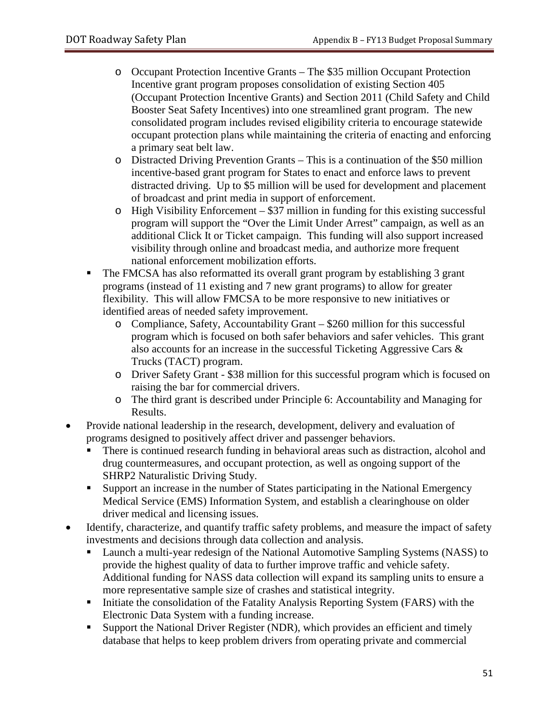- o Occupant Protection Incentive Grants The \$35 million Occupant Protection Incentive grant program proposes consolidation of existing Section 405 (Occupant Protection Incentive Grants) and Section 2011 (Child Safety and Child Booster Seat Safety Incentives) into one streamlined grant program. The new consolidated program includes revised eligibility criteria to encourage statewide occupant protection plans while maintaining the criteria of enacting and enforcing a primary seat belt law.
- o Distracted Driving Prevention Grants This is a continuation of the \$50 million incentive-based grant program for States to enact and enforce laws to prevent distracted driving. Up to \$5 million will be used for development and placement of broadcast and print media in support of enforcement.
- o High Visibility Enforcement \$37 million in funding for this existing successful program will support the "Over the Limit Under Arrest" campaign, as well as an additional Click It or Ticket campaign. This funding will also support increased visibility through online and broadcast media, and authorize more frequent national enforcement mobilization efforts.
- The FMCSA has also reformatted its overall grant program by establishing 3 grant programs (instead of 11 existing and 7 new grant programs) to allow for greater flexibility. This will allow FMCSA to be more responsive to new initiatives or identified areas of needed safety improvement.
	- o Compliance, Safety, Accountability Grant \$260 million for this successful program which is focused on both safer behaviors and safer vehicles. This grant also accounts for an increase in the successful Ticketing Aggressive Cars & Trucks (TACT) program.
	- o Driver Safety Grant \$38 million for this successful program which is focused on raising the bar for commercial drivers.
	- o The third grant is described under Principle 6: Accountability and Managing for Results.
- Provide national leadership in the research, development, delivery and evaluation of programs designed to positively affect driver and passenger behaviors.
	- There is continued research funding in behavioral areas such as distraction, alcohol and drug countermeasures, and occupant protection, as well as ongoing support of the SHRP2 Naturalistic Driving Study.
	- Support an increase in the number of States participating in the National Emergency Medical Service (EMS) Information System, and establish a clearinghouse on older driver medical and licensing issues.
- Identify, characterize, and quantify traffic safety problems, and measure the impact of safety investments and decisions through data collection and analysis.
	- Launch a multi-year redesign of the National Automotive Sampling Systems (NASS) to provide the highest quality of data to further improve traffic and vehicle safety. Additional funding for NASS data collection will expand its sampling units to ensure a more representative sample size of crashes and statistical integrity.
	- Initiate the consolidation of the Fatality Analysis Reporting System (FARS) with the Electronic Data System with a funding increase.
	- Support the National Driver Register (NDR), which provides an efficient and timely database that helps to keep problem drivers from operating private and commercial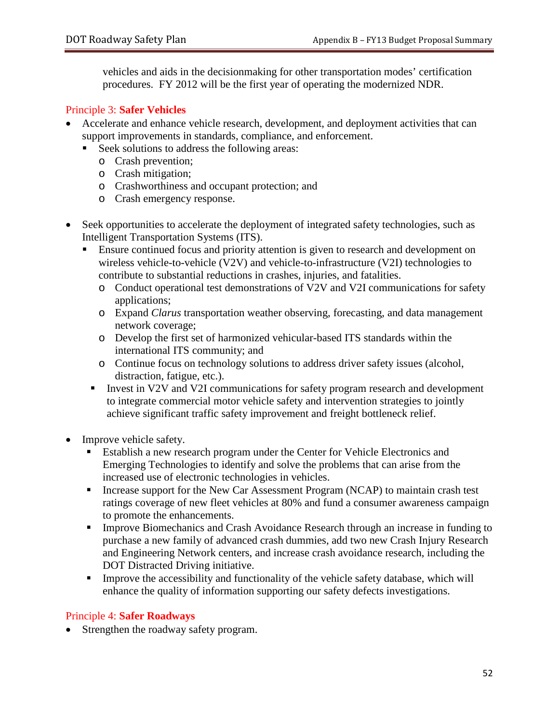vehicles and aids in the decisionmaking for other transportation modes' certification procedures. FY 2012 will be the first year of operating the modernized NDR.

#### Principle 3: **Safer Vehicles**

- Accelerate and enhance vehicle research, development, and deployment activities that can support improvements in standards, compliance, and enforcement.
	- Seek solutions to address the following areas:
		- o Crash prevention;
		- o Crash mitigation;
		- o Crashworthiness and occupant protection; and
		- o Crash emergency response.
- Seek opportunities to accelerate the deployment of integrated safety technologies, such as Intelligent Transportation Systems (ITS).
	- Ensure continued focus and priority attention is given to research and development on wireless vehicle-to-vehicle (V2V) and vehicle-to-infrastructure (V2I) technologies to contribute to substantial reductions in crashes, injuries, and fatalities.
		- o Conduct operational test demonstrations of V2V and V2I communications for safety applications;
		- o Expand *Clarus* transportation weather observing, forecasting, and data management network coverage;
		- o Develop the first set of harmonized vehicular-based ITS standards within the international ITS community; and
		- o Continue focus on technology solutions to address driver safety issues (alcohol, distraction, fatigue, etc.).
		- Invest in V2V and V2I communications for safety program research and development to integrate commercial motor vehicle safety and intervention strategies to jointly achieve significant traffic safety improvement and freight bottleneck relief.
- Improve vehicle safety.
	- Establish a new research program under the Center for Vehicle Electronics and Emerging Technologies to identify and solve the problems that can arise from the increased use of electronic technologies in vehicles.
	- Increase support for the New Car Assessment Program (NCAP) to maintain crash test ratings coverage of new fleet vehicles at 80% and fund a consumer awareness campaign to promote the enhancements.
	- **Improve Biomechanics and Crash Avoidance Research through an increase in funding to** purchase a new family of advanced crash dummies, add two new Crash Injury Research and Engineering Network centers, and increase crash avoidance research, including the DOT Distracted Driving initiative.
	- Improve the accessibility and functionality of the vehicle safety database, which will enhance the quality of information supporting our safety defects investigations.

#### Principle 4: **Safer Roadways**

• Strengthen the roadway safety program.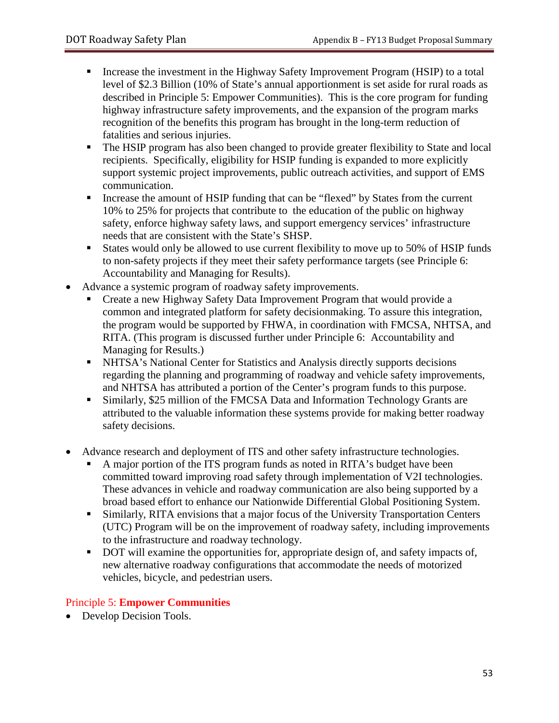- Increase the investment in the Highway Safety Improvement Program (HSIP) to a total level of \$2.3 Billion (10% of State's annual apportionment is set aside for rural roads as described in Principle 5: Empower Communities). This is the core program for funding highway infrastructure safety improvements, and the expansion of the program marks recognition of the benefits this program has brought in the long-term reduction of fatalities and serious injuries.
- The HSIP program has also been changed to provide greater flexibility to State and local recipients. Specifically, eligibility for HSIP funding is expanded to more explicitly support systemic project improvements, public outreach activities, and support of EMS communication.
- Increase the amount of HSIP funding that can be "flexed" by States from the current 10% to 25% for projects that contribute to the education of the public on highway safety, enforce highway safety laws, and support emergency services' infrastructure needs that are consistent with the State's SHSP.
- States would only be allowed to use current flexibility to move up to 50% of HSIP funds to non-safety projects if they meet their safety performance targets (see Principle 6: Accountability and Managing for Results).
- Advance a systemic program of roadway safety improvements.
	- Create a new Highway Safety Data Improvement Program that would provide a common and integrated platform for safety decisionmaking. To assure this integration, the program would be supported by FHWA, in coordination with FMCSA, NHTSA, and RITA. (This program is discussed further under Principle 6: Accountability and Managing for Results.)
	- NHTSA's National Center for Statistics and Analysis directly supports decisions regarding the planning and programming of roadway and vehicle safety improvements, and NHTSA has attributed a portion of the Center's program funds to this purpose.
	- Similarly, \$25 million of the FMCSA Data and Information Technology Grants are attributed to the valuable information these systems provide for making better roadway safety decisions.
- Advance research and deployment of ITS and other safety infrastructure technologies.
	- A major portion of the ITS program funds as noted in RITA's budget have been committed toward improving road safety through implementation of V2I technologies. These advances in vehicle and roadway communication are also being supported by a broad based effort to enhance our Nationwide Differential Global Positioning System.
	- Similarly, RITA envisions that a major focus of the University Transportation Centers (UTC) Program will be on the improvement of roadway safety, including improvements to the infrastructure and roadway technology.
	- DOT will examine the opportunities for, appropriate design of, and safety impacts of, new alternative roadway configurations that accommodate the needs of motorized vehicles, bicycle, and pedestrian users.

### Principle 5: **Empower Communities**

• Develop Decision Tools.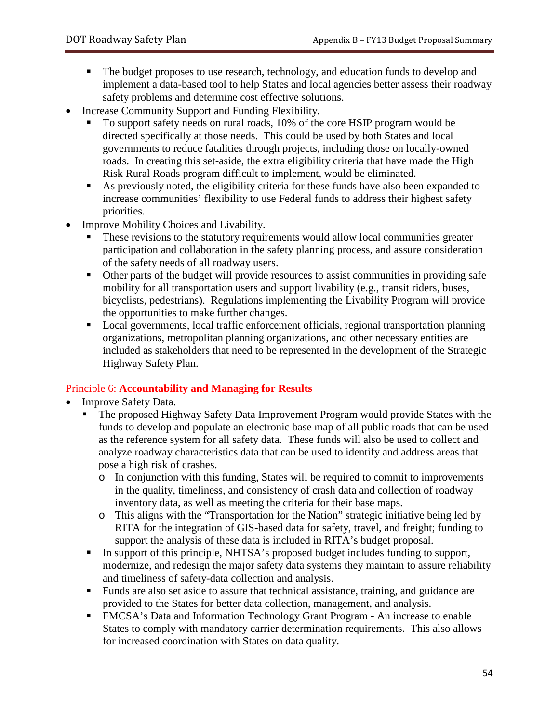- The budget proposes to use research, technology, and education funds to develop and implement a data-based tool to help States and local agencies better assess their roadway safety problems and determine cost effective solutions.
- Increase Community Support and Funding Flexibility.
	- To support safety needs on rural roads, 10% of the core HSIP program would be directed specifically at those needs. This could be used by both States and local governments to reduce fatalities through projects, including those on locally-owned roads. In creating this set-aside, the extra eligibility criteria that have made the High Risk Rural Roads program difficult to implement, would be eliminated.
	- As previously noted, the eligibility criteria for these funds have also been expanded to increase communities' flexibility to use Federal funds to address their highest safety priorities.
- Improve Mobility Choices and Livability.
	- These revisions to the statutory requirements would allow local communities greater participation and collaboration in the safety planning process, and assure consideration of the safety needs of all roadway users.
	- Other parts of the budget will provide resources to assist communities in providing safe mobility for all transportation users and support livability (e.g., transit riders, buses, bicyclists, pedestrians). Regulations implementing the Livability Program will provide the opportunities to make further changes.
	- Local governments, local traffic enforcement officials, regional transportation planning organizations, metropolitan planning organizations, and other necessary entities are included as stakeholders that need to be represented in the development of the Strategic Highway Safety Plan.

### Principle 6: **Accountability and Managing for Results**

- Improve Safety Data.
	- The proposed Highway Safety Data Improvement Program would provide States with the funds to develop and populate an electronic base map of all public roads that can be used as the reference system for all safety data. These funds will also be used to collect and analyze roadway characteristics data that can be used to identify and address areas that pose a high risk of crashes.
		- o In conjunction with this funding, States will be required to commit to improvements in the quality, timeliness, and consistency of crash data and collection of roadway inventory data, as well as meeting the criteria for their base maps.
		- o This aligns with the "Transportation for the Nation" strategic initiative being led by RITA for the integration of GIS-based data for safety, travel, and freight; funding to support the analysis of these data is included in RITA's budget proposal.
	- In support of this principle, NHTSA's proposed budget includes funding to support, modernize, and redesign the major safety data systems they maintain to assure reliability and timeliness of safety-data collection and analysis.
	- Funds are also set aside to assure that technical assistance, training, and guidance are provided to the States for better data collection, management, and analysis.
	- FMCSA's Data and Information Technology Grant Program An increase to enable States to comply with mandatory carrier determination requirements. This also allows for increased coordination with States on data quality.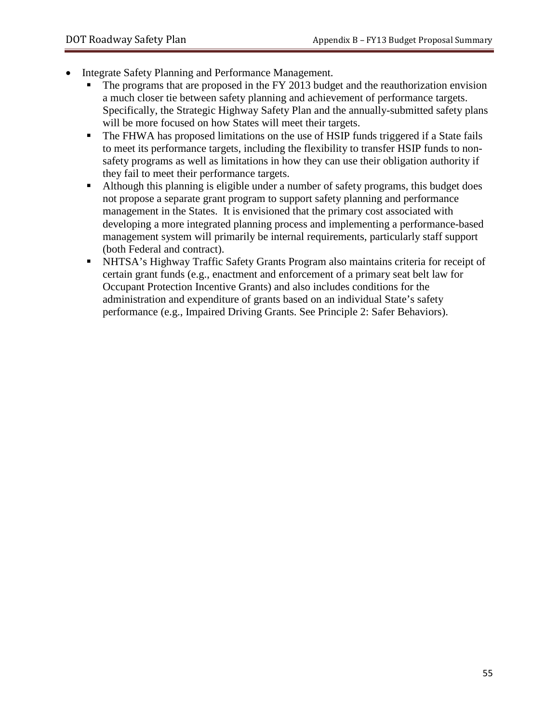- Integrate Safety Planning and Performance Management.
	- The programs that are proposed in the FY 2013 budget and the reauthorization envision a much closer tie between safety planning and achievement of performance targets. Specifically, the Strategic Highway Safety Plan and the annually-submitted safety plans will be more focused on how States will meet their targets.
	- The FHWA has proposed limitations on the use of HSIP funds triggered if a State fails to meet its performance targets, including the flexibility to transfer HSIP funds to nonsafety programs as well as limitations in how they can use their obligation authority if they fail to meet their performance targets.
	- Although this planning is eligible under a number of safety programs, this budget does not propose a separate grant program to support safety planning and performance management in the States. It is envisioned that the primary cost associated with developing a more integrated planning process and implementing a performance-based management system will primarily be internal requirements, particularly staff support (both Federal and contract).
	- NHTSA's Highway Traffic Safety Grants Program also maintains criteria for receipt of certain grant funds (e.g., enactment and enforcement of a primary seat belt law for Occupant Protection Incentive Grants) and also includes conditions for the administration and expenditure of grants based on an individual State's safety performance (e.g., Impaired Driving Grants. See Principle 2: Safer Behaviors).